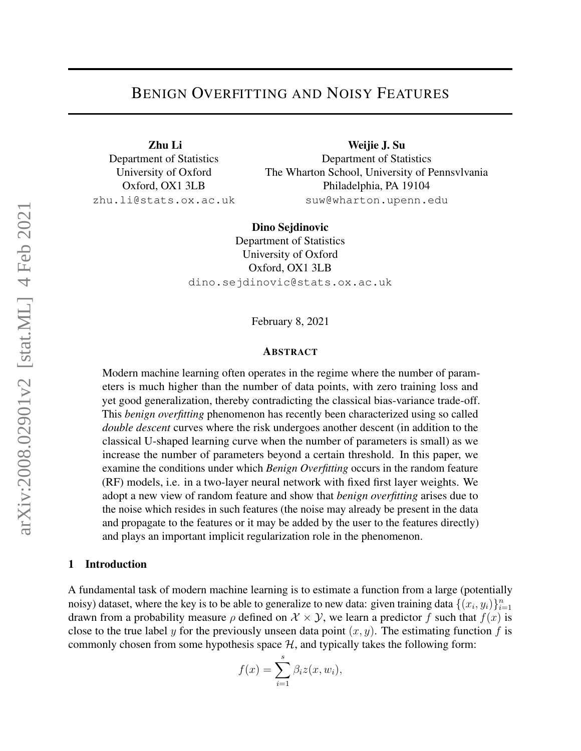# BENIGN OVERFITTING AND NOISY FEATURES

Zhu Li Department of Statistics University of Oxford Oxford, OX1 3LB zhu.li@stats.ox.ac.uk

Weijie J. Su Department of Statistics The Wharton School, University of Pennsvlvania Philadelphia, PA 19104 suw@wharton.upenn.edu

Dino Sejdinovic Department of Statistics University of Oxford Oxford, OX1 3LB dino.sejdinovic@stats.ox.ac.uk

February 8, 2021

### **ABSTRACT**

Modern machine learning often operates in the regime where the number of parameters is much higher than the number of data points, with zero training loss and yet good generalization, thereby contradicting the classical bias-variance trade-off. This *benign overfitting* phenomenon has recently been characterized using so called *double descent* curves where the risk undergoes another descent (in addition to the classical U-shaped learning curve when the number of parameters is small) as we increase the number of parameters beyond a certain threshold. In this paper, we examine the conditions under which *Benign Overfitting* occurs in the random feature (RF) models, i.e. in a two-layer neural network with fixed first layer weights. We adopt a new view of random feature and show that *benign overfitting* arises due to the noise which resides in such features (the noise may already be present in the data and propagate to the features or it may be added by the user to the features directly) and plays an important implicit regularization role in the phenomenon.

#### 1 Introduction

A fundamental task of modern machine learning is to estimate a function from a large (potentially noisy) dataset, where the key is to be able to generalize to new data: given training data  $\{(x_i, y_i)\}_{i=1}^n$ drawn from a probability measure  $\rho$  defined on  $\mathcal{X} \times \mathcal{Y}$ , we learn a predictor f such that  $f(x)$  is close to the true label y for the previously unseen data point  $(x, y)$ . The estimating function f is commonly chosen from some hypothesis space  $H$ , and typically takes the following form:

$$
f(x) = \sum_{i=1}^{s} \beta_i z(x, w_i),
$$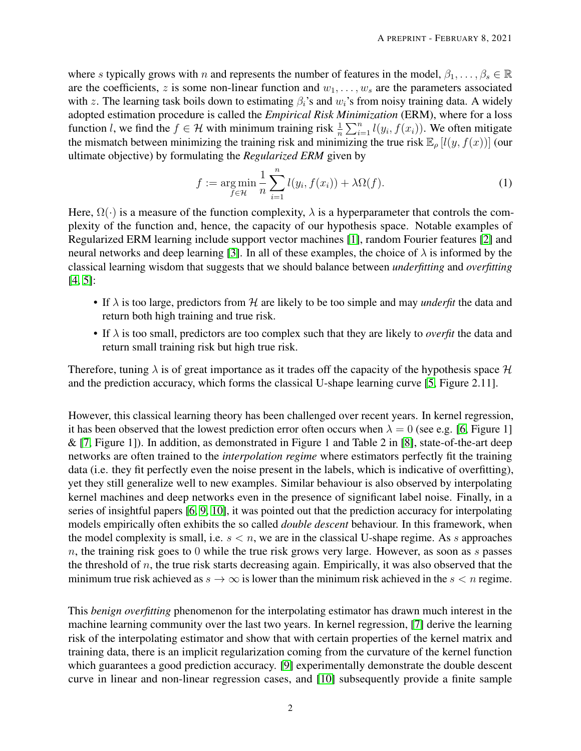where s typically grows with n and represents the number of features in the model,  $\beta_1, \ldots, \beta_s \in \mathbb{R}$ are the coefficients, z is some non-linear function and  $w_1, \ldots, w_s$  are the parameters associated with z. The learning task boils down to estimating  $\beta_i$ 's and  $w_i$ 's from noisy training data. A widely adopted estimation procedure is called the *Empirical Risk Minimization* (ERM), where for a loss function *l*, we find the  $f \in \mathcal{H}$  with minimum training risk  $\frac{1}{n} \sum_{i=1}^{n} l(y_i, f(x_i))$ . We often mitigate the mismatch between minimizing the training risk and minimizing the true risk  $\mathbb{E}_{\rho} [l(y, f(x))]$  (our ultimate objective) by formulating the *Regularized ERM* given by

<span id="page-1-0"></span>
$$
f := \underset{f \in \mathcal{H}}{\arg \min} \frac{1}{n} \sum_{i=1}^{n} l(y_i, f(x_i)) + \lambda \Omega(f). \tag{1}
$$

Here,  $\Omega(\cdot)$  is a measure of the function complexity,  $\lambda$  is a hyperparameter that controls the complexity of the function and, hence, the capacity of our hypothesis space. Notable examples of Regularized ERM learning include support vector machines [\[1\]](#page-26-0), random Fourier features [\[2\]](#page-26-1) and neural networks and deep learning [\[3\]](#page-26-2). In all of these examples, the choice of  $\lambda$  is informed by the classical learning wisdom that suggests that we should balance between *underfitting* and *overfitting* [\[4,](#page-26-3) [5\]](#page-26-4):

- If  $\lambda$  is too large, predictors from H are likely to be too simple and may *underfit* the data and return both high training and true risk.
- If  $\lambda$  is too small, predictors are too complex such that they are likely to *overfit* the data and return small training risk but high true risk.

Therefore, tuning  $\lambda$  is of great importance as it trades off the capacity of the hypothesis space  $\mathcal H$ and the prediction accuracy, which forms the classical U-shape learning curve [\[5,](#page-26-4) Figure 2.11].

However, this classical learning theory has been challenged over recent years. In kernel regression, it has been observed that the lowest prediction error often occurs when  $\lambda = 0$  (see e.g. [\[6,](#page-26-5) Figure 1]  $\&$  [\[7,](#page-27-0) Figure 1]). In addition, as demonstrated in Figure 1 and Table 2 in [\[8\]](#page-27-1), state-of-the-art deep networks are often trained to the *interpolation regime* where estimators perfectly fit the training data (i.e. they fit perfectly even the noise present in the labels, which is indicative of overfitting), yet they still generalize well to new examples. Similar behaviour is also observed by interpolating kernel machines and deep networks even in the presence of significant label noise. Finally, in a series of insightful papers [\[6,](#page-26-5) [9,](#page-27-2) [10\]](#page-27-3), it was pointed out that the prediction accuracy for interpolating models empirically often exhibits the so called *double descent* behaviour. In this framework, when the model complexity is small, i.e.  $s < n$ , we are in the classical U-shape regime. As s approaches  $n$ , the training risk goes to 0 while the true risk grows very large. However, as soon as  $s$  passes the threshold of  $n$ , the true risk starts decreasing again. Empirically, it was also observed that the minimum true risk achieved as  $s \to \infty$  is lower than the minimum risk achieved in the  $s < n$  regime.

This *benign overfitting* phenomenon for the interpolating estimator has drawn much interest in the machine learning community over the last two years. In kernel regression, [\[7\]](#page-27-0) derive the learning risk of the interpolating estimator and show that with certain properties of the kernel matrix and training data, there is an implicit regularization coming from the curvature of the kernel function which guarantees a good prediction accuracy. [\[9\]](#page-27-2) experimentally demonstrate the double descent curve in linear and non-linear regression cases, and [\[10\]](#page-27-3) subsequently provide a finite sample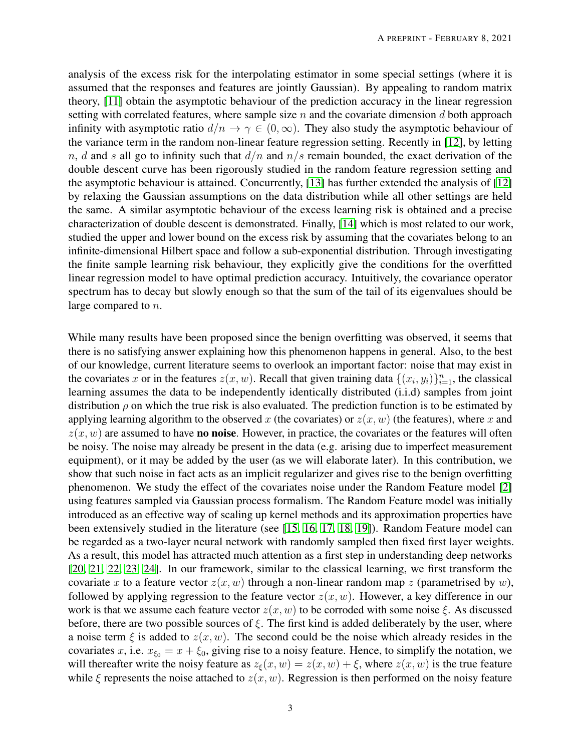analysis of the excess risk for the interpolating estimator in some special settings (where it is assumed that the responses and features are jointly Gaussian). By appealing to random matrix theory, [\[11\]](#page-27-4) obtain the asymptotic behaviour of the prediction accuracy in the linear regression setting with correlated features, where sample size  $n$  and the covariate dimension  $d$  both approach infinity with asymptotic ratio  $d/n \to \gamma \in (0,\infty)$ . They also study the asymptotic behaviour of the variance term in the random non-linear feature regression setting. Recently in [\[12\]](#page-27-5), by letting n, d and s all go to infinity such that  $d/n$  and  $n/s$  remain bounded, the exact derivation of the double descent curve has been rigorously studied in the random feature regression setting and the asymptotic behaviour is attained. Concurrently, [\[13\]](#page-27-6) has further extended the analysis of [\[12\]](#page-27-5) by relaxing the Gaussian assumptions on the data distribution while all other settings are held the same. A similar asymptotic behaviour of the excess learning risk is obtained and a precise characterization of double descent is demonstrated. Finally, [\[14\]](#page-27-7) which is most related to our work, studied the upper and lower bound on the excess risk by assuming that the covariates belong to an infinite-dimensional Hilbert space and follow a sub-exponential distribution. Through investigating the finite sample learning risk behaviour, they explicitly give the conditions for the overfitted linear regression model to have optimal prediction accuracy. Intuitively, the covariance operator spectrum has to decay but slowly enough so that the sum of the tail of its eigenvalues should be large compared to n.

While many results have been proposed since the benign overfitting was observed, it seems that there is no satisfying answer explaining how this phenomenon happens in general. Also, to the best of our knowledge, current literature seems to overlook an important factor: noise that may exist in the covariates x or in the features  $z(x, w)$ . Recall that given training data  $\{(x_i, y_i)\}_{i=1}^n$ , the classical learning assumes the data to be independently identically distributed (i.i.d) samples from joint distribution  $\rho$  on which the true risk is also evaluated. The prediction function is to be estimated by applying learning algorithm to the observed x (the covariates) or  $z(x, w)$  (the features), where x and  $z(x, w)$  are assumed to have **no noise**. However, in practice, the covariates or the features will often be noisy. The noise may already be present in the data (e.g. arising due to imperfect measurement equipment), or it may be added by the user (as we will elaborate later). In this contribution, we show that such noise in fact acts as an implicit regularizer and gives rise to the benign overfitting phenomenon. We study the effect of the covariates noise under the Random Feature model [\[2\]](#page-26-1) using features sampled via Gaussian process formalism. The Random Feature model was initially introduced as an effective way of scaling up kernel methods and its approximation properties have been extensively studied in the literature (see [\[15,](#page-27-8) [16,](#page-27-9) [17,](#page-27-10) [18,](#page-27-11) [19\]](#page-27-12)). Random Feature model can be regarded as a two-layer neural network with randomly sampled then fixed first layer weights. As a result, this model has attracted much attention as a first step in understanding deep networks [\[20,](#page-27-13) [21,](#page-27-14) [22,](#page-27-15) [23,](#page-28-0) [24\]](#page-28-1). In our framework, similar to the classical learning, we first transform the covariate x to a feature vector  $z(x, w)$  through a non-linear random map z (parametrised by w), followed by applying regression to the feature vector  $z(x, w)$ . However, a key difference in our work is that we assume each feature vector  $z(x, w)$  to be corroded with some noise  $\xi$ . As discussed before, there are two possible sources of  $\xi$ . The first kind is added deliberately by the user, where a noise term  $\xi$  is added to  $z(x, w)$ . The second could be the noise which already resides in the covariates x, i.e.  $x_{\xi_0} = x + \xi_0$ , giving rise to a noisy feature. Hence, to simplify the notation, we will thereafter write the noisy feature as  $z_{\xi}(x, w) = z(x, w) + \xi$ , where  $z(x, w)$  is the true feature while  $\xi$  represents the noise attached to  $z(x, w)$ . Regression is then performed on the noisy feature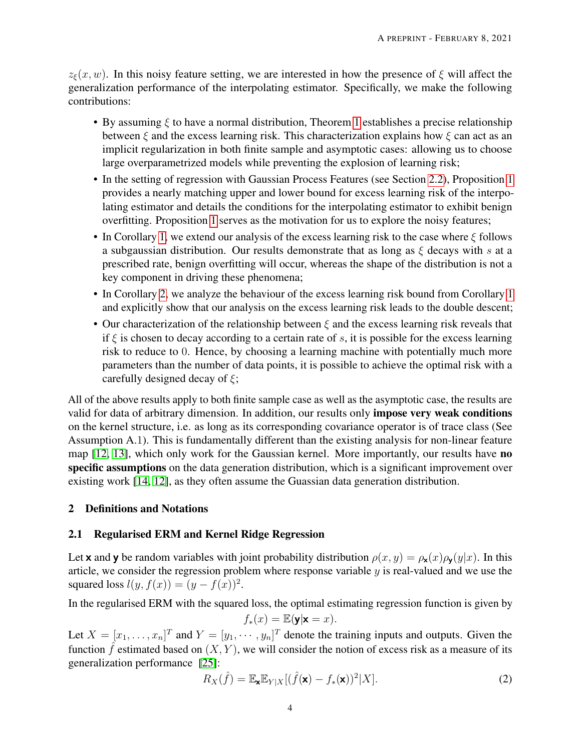$z_{\xi}(x, w)$ . In this noisy feature setting, we are interested in how the presence of  $\xi$  will affect the generalization performance of the interpolating estimator. Specifically, we make the following contributions:

- By assuming  $\xi$  to have a normal distribution, Theorem [1](#page-8-0) establishes a precise relationship between  $\xi$  and the excess learning risk. This characterization explains how  $\xi$  can act as an implicit regularization in both finite sample and asymptotic cases: allowing us to choose large overparametrized models while preventing the explosion of learning risk;
- In the setting of regression with Gaussian Process Features (see Section [2.2\)](#page-4-0), Proposition [1](#page-9-0) provides a nearly matching upper and lower bound for excess learning risk of the interpolating estimator and details the conditions for the interpolating estimator to exhibit benign overfitting. Proposition [1](#page-9-0) serves as the motivation for us to explore the noisy features;
- In Corollary [1,](#page-11-0) we extend our analysis of the excess learning risk to the case where  $\xi$  follows a subgaussian distribution. Our results demonstrate that as long as  $\xi$  decays with s at a prescribed rate, benign overfitting will occur, whereas the shape of the distribution is not a key component in driving these phenomena;
- In Corollary [2,](#page-12-0) we analyze the behaviour of the excess learning risk bound from Corollary [1](#page-11-0) and explicitly show that our analysis on the excess learning risk leads to the double descent;
- Our characterization of the relationship between  $\xi$  and the excess learning risk reveals that if  $\xi$  is chosen to decay according to a certain rate of s, it is possible for the excess learning risk to reduce to 0. Hence, by choosing a learning machine with potentially much more parameters than the number of data points, it is possible to achieve the optimal risk with a carefully designed decay of  $\xi$ ;

All of the above results apply to both finite sample case as well as the asymptotic case, the results are valid for data of arbitrary dimension. In addition, our results only impose very weak conditions on the kernel structure, i.e. as long as its corresponding covariance operator is of trace class (See Assumption A.1). This is fundamentally different than the existing analysis for non-linear feature map [\[12,](#page-27-5) [13\]](#page-27-6), which only work for the Gaussian kernel. More importantly, our results have no specific assumptions on the data generation distribution, which is a significant improvement over existing work [\[14,](#page-27-7) [12\]](#page-27-5), as they often assume the Guassian data generation distribution.

# 2 Definitions and Notations

# 2.1 Regularised ERM and Kernel Ridge Regression

Let **x** and **y** be random variables with joint probability distribution  $\rho(x, y) = \rho_{\mathbf{x}}(x)\rho_{\mathbf{y}}(y|x)$ . In this article, we consider the regression problem where response variable  $y$  is real-valued and we use the squared loss  $l(y, f(x)) = (y - f(x))^2$ .

In the regularised ERM with the squared loss, the optimal estimating regression function is given by

$$
f_*(x) = \mathbb{E}(\mathbf{y}|\mathbf{x} = x).
$$

Let  $X = [x_1, \dots, x_n]^T$  and  $Y = [y_1, \dots, y_n]^T$  denote the training inputs and outputs. Given the function  $\hat{f}$  estimated based on  $(X, Y)$ , we will consider the notion of excess risk as a measure of its generalization performance [\[25\]](#page-28-2):

$$
R_X(\hat{f}) = \mathbb{E}_{\mathbf{x}} \mathbb{E}_{Y|X} [(\hat{f}(\mathbf{x}) - f_*(\mathbf{x}))^2 | X].
$$
\n(2)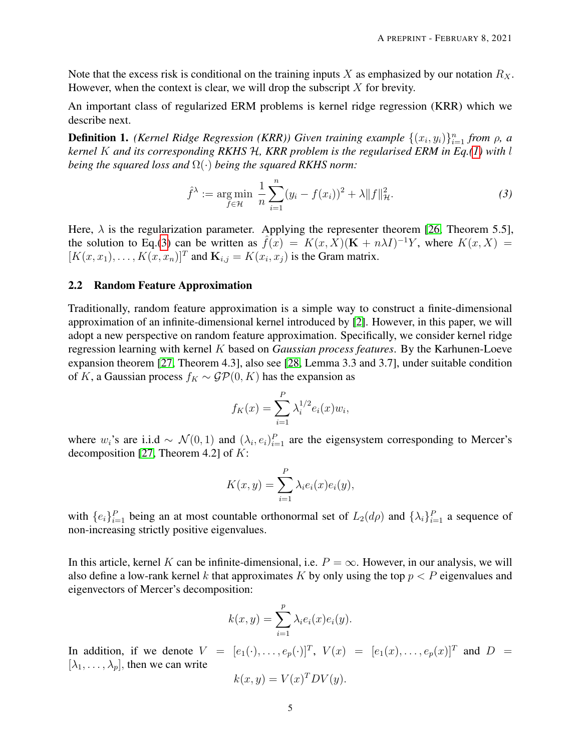Note that the excess risk is conditional on the training inputs X as emphasized by our notation  $R_X$ . However, when the context is clear, we will drop the subscript  $X$  for brevity.

An important class of regularized ERM problems is kernel ridge regression (KRR) which we describe next.

**Definition 1.** *(Kernel Ridge Regression (KRR))* Given training example  $\{(x_i, y_i)\}_{i=1}^n$  from  $\rho$ , a *kernel* K *and its corresponding RKHS* H*, KRR problem is the regularised ERM in Eq.[\(1\)](#page-1-0) with* l *being the squared loss and* Ω(·) *being the squared RKHS norm:*

<span id="page-4-1"></span>
$$
\hat{f}^{\lambda} := \underset{f \in \mathcal{H}}{\text{arg min}} \ \frac{1}{n} \sum_{i=1}^{n} (y_i - f(x_i))^2 + \lambda \|f\|_{\mathcal{H}}^2. \tag{3}
$$

Here,  $\lambda$  is the regularization parameter. Applying the representer theorem [\[26,](#page-28-3) Theorem 5.5], the solution to Eq.[\(3\)](#page-4-1) can be written as  $\hat{f}(x) = K(x, X)(\mathbf{K} + n\lambda I)^{-1}Y$ , where  $K(x, X) =$  $[K(x, x_1), \ldots, K(x, x_n)]^T$  and  $\mathbf{K}_{i,j} = K(x_i, x_j)$  is the Gram matrix.

### <span id="page-4-0"></span>2.2 Random Feature Approximation

Traditionally, random feature approximation is a simple way to construct a finite-dimensional approximation of an infinite-dimensional kernel introduced by [\[2\]](#page-26-1). However, in this paper, we will adopt a new perspective on random feature approximation. Specifically, we consider kernel ridge regression learning with kernel K based on *Gaussian process features*. By the Karhunen-Loeve expansion theorem [\[27,](#page-28-4) Theorem 4.3], also see [\[28,](#page-28-5) Lemma 3.3 and 3.7], under suitable condition of K, a Gaussian process  $f_K \sim \mathcal{GP}(0, K)$  has the expansion as

$$
f_K(x) = \sum_{i=1}^{P} \lambda_i^{1/2} e_i(x) w_i,
$$

where  $w_i$ 's are i.i.d ~  $\mathcal{N}(0,1)$  and  $(\lambda_i, e_i)_{i=1}^P$  are the eigensystem corresponding to Mercer's decomposition [\[27,](#page-28-4) Theorem 4.2] of  $K$ :

$$
K(x,y) = \sum_{i=1}^{P} \lambda_i e_i(x) e_i(y),
$$

with  $\{e_i\}_{i=1}^P$  being an at most countable orthonormal set of  $L_2(d\rho)$  and  $\{\lambda_i\}_{i=1}^P$  a sequence of non-increasing strictly positive eigenvalues.

In this article, kernel K can be infinite-dimensional, i.e.  $P = \infty$ . However, in our analysis, we will also define a low-rank kernel k that approximates K by only using the top  $p < P$  eigenvalues and eigenvectors of Mercer's decomposition:

$$
k(x, y) = \sum_{i=1}^{p} \lambda_i e_i(x) e_i(y).
$$

In addition, if we denote  $V = [e_1(\cdot), \dots, e_p(\cdot)]^T$ ,  $V(x) = [e_1(x), \dots, e_p(x)]^T$  and  $D =$  $[\lambda_1, \ldots, \lambda_p]$ , then we can write

$$
k(x, y) = V(x)^T D V(y).
$$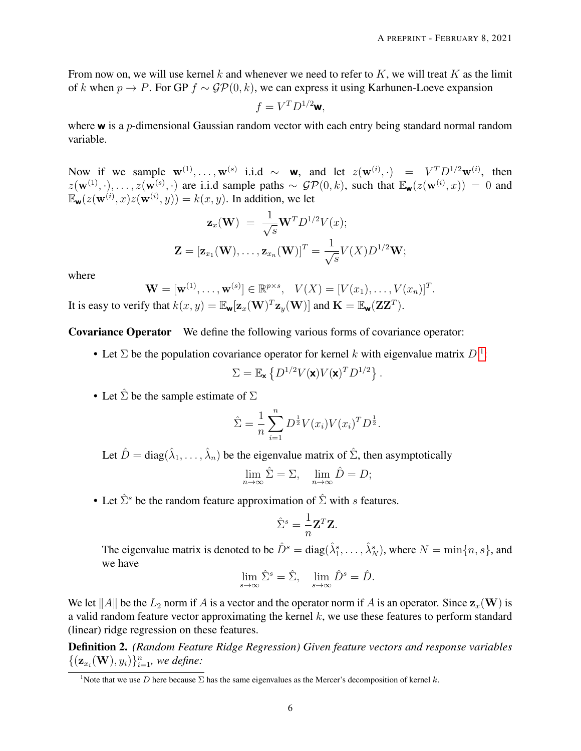From now on, we will use kernel k and whenever we need to refer to K, we will treat K as the limit of k when  $p \to P$ . For GP  $f \sim GP(0, k)$ , we can express it using Karhunen-Loeve expansion

$$
f = V^T D^{1/2} \mathbf{w},
$$

where  $\bf{w}$  is a p-dimensional Gaussian random vector with each entry being standard normal random variable.

Now if we sample  $\mathbf{w}^{(1)}, \dots, \mathbf{w}^{(s)}$  i.i.d ~ **w**, and let  $z(\mathbf{w}^{(i)}, \cdot) = V^T D^{1/2} \mathbf{w}^{(i)}$ , then  $z(\mathbf{w}^{(1)},\cdot),\ldots,z(\mathbf{w}^{(s)},\cdot)$  are i.i.d sample paths  $\sim$   $\mathcal{GP}(0,k)$ , such that  $\mathbb{E}_{\mathbf{w}}(z(\mathbf{w}^{(i)},x))=0$  and  $\mathbb{E}_{\mathbf{w}}(z(\mathbf{w}^{(i)}, x)z(\mathbf{w}^{(i)}, y)) = k(x, y)$ . In addition, we let

$$
\mathbf{z}_x(\mathbf{W}) = \frac{1}{\sqrt{s}} \mathbf{W}^T D^{1/2} V(x);
$$
  

$$
\mathbf{Z} = [\mathbf{z}_{x_1}(\mathbf{W}), \dots, \mathbf{z}_{x_n}(\mathbf{W})]^T = \frac{1}{\sqrt{s}} V(X) D^{1/2} \mathbf{W};
$$

where

$$
\mathbf{W} = [\mathbf{w}^{(1)}, \dots, \mathbf{w}^{(s)}] \in \mathbb{R}^{p \times s}, \quad V(X) = [V(x_1), \dots, V(x_n)]^T.
$$
  
It is easy to verify that  $k(x, y) = \mathbb{E}_{\mathbf{w}}[\mathbf{z}_x(\mathbf{W})^T \mathbf{z}_y(\mathbf{W})]$  and  $\mathbf{K} = \mathbb{E}_{\mathbf{w}}(\mathbf{Z}\mathbf{Z}^T).$ 

Covariance Operator We define the following various forms of covariance operator:

• Let  $\Sigma$  be the population covariance operator for kernel k with eigenvalue matrix  $D<sup>1</sup>$  $D<sup>1</sup>$  $D<sup>1</sup>$ :

$$
\Sigma = \mathbb{E}_{\mathbf{x}} \left\{ D^{1/2} V(\mathbf{x}) V(\mathbf{x})^T D^{1/2} \right\}.
$$

• Let  $\hat{\Sigma}$  be the sample estimate of  $\Sigma$ 

$$
\hat{\Sigma} = \frac{1}{n} \sum_{i=1}^{n} D^{\frac{1}{2}} V(x_i) V(x_i)^T D^{\frac{1}{2}}.
$$

Let  $\hat{D} = \text{diag}(\hat{\lambda}_1, \dots, \hat{\lambda}_n)$  be the eigenvalue matrix of  $\hat{\Sigma}$ , then asymptotically

$$
\lim_{n \to \infty} \hat{\Sigma} = \Sigma, \quad \lim_{n \to \infty} \hat{D} = D;
$$

• Let  $\hat{\Sigma}^s$  be the random feature approximation of  $\hat{\Sigma}$  with s features.

$$
\hat{\Sigma}^s = \frac{1}{n} \mathbf{Z}^T \mathbf{Z}.
$$

The eigenvalue matrix is denoted to be  $\hat{D}^s = diag(\hat{\lambda}_1^s, \dots, \hat{\lambda}_N^s)$ , where  $N = \min\{n, s\}$ , and we have

$$
\lim_{s \to \infty} \hat{\Sigma}^s = \hat{\Sigma}, \quad \lim_{s \to \infty} \hat{D}^s = \hat{D}.
$$

We let ||A|| be the  $L_2$  norm if A is a vector and the operator norm if A is an operator. Since  $z_x(\mathbf{W})$  is a valid random feature vector approximating the kernel  $k$ , we use these features to perform standard (linear) ridge regression on these features.

Definition 2. *(Random Feature Ridge Regression) Given feature vectors and response variables*  $\{(\mathbf{z}_{x_i}(\mathbf{W}), y_i)\}_{i=1}^n$ , we define:

<span id="page-5-0"></span><sup>&</sup>lt;sup>1</sup>Note that we use D here because  $\Sigma$  has the same eigenvalues as the Mercer's decomposition of kernel k.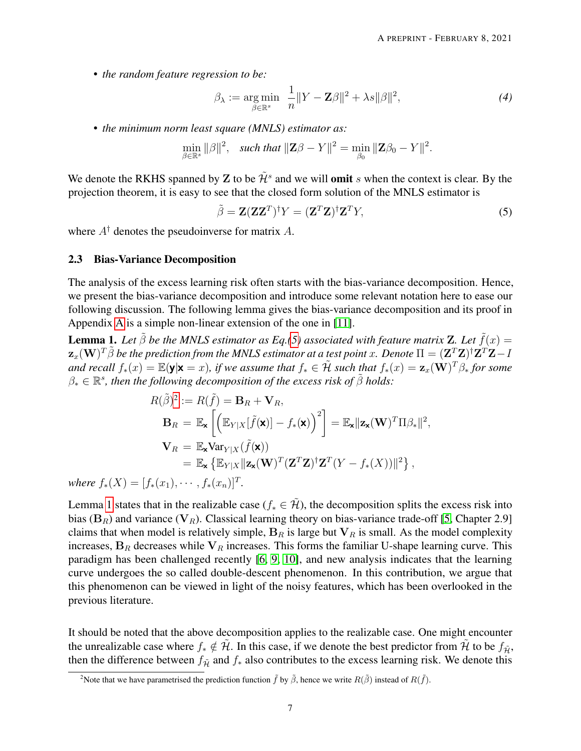• *the random feature regression to be:*

<span id="page-6-3"></span>
$$
\beta_{\lambda} := \underset{\beta \in \mathbb{R}^s}{\arg \min} \ \frac{1}{n} \|Y - \mathbf{Z}\beta\|^2 + \lambda s \|\beta\|^2, \tag{4}
$$

• *the minimum norm least square (MNLS) estimator as:*

$$
\min_{\beta \in \mathbb{R}^s} \|\beta\|^2, \quad \text{such that } \|\mathbf{Z}\beta - Y\|^2 = \min_{\beta_0} \|\mathbf{Z}\beta_0 - Y\|^2.
$$

We denote the RKHS spanned by Z to be  $\tilde{\mathcal{H}}^s$  and we will **omit** s when the context is clear. By the projection theorem, it is easy to see that the closed form solution of the MNLS estimator is

<span id="page-6-0"></span>
$$
\tilde{\beta} = \mathbf{Z} (\mathbf{Z} \mathbf{Z}^T)^{\dagger} Y = (\mathbf{Z}^T \mathbf{Z})^{\dagger} \mathbf{Z}^T Y,\tag{5}
$$

where  $A^{\dagger}$  denotes the pseudoinverse for matrix A.

#### 2.3 Bias-Variance Decomposition

The analysis of the excess learning risk often starts with the bias-variance decomposition. Hence, we present the bias-variance decomposition and introduce some relevant notation here to ease our following discussion. The following lemma gives the bias-variance decomposition and its proof in Appendix [A](#page-29-0) is a simple non-linear extension of the one in [\[11\]](#page-27-4).

<span id="page-6-2"></span>**Lemma 1.** Let  $\tilde{\beta}$  be the MNLS estimator as Eq.[\(5\)](#page-6-0) associated with feature matrix **Z**. Let  $\tilde{f}(x) =$  $\mathbf{z}_x(\mathbf{W})^T\tilde{\beta}$  be the prediction from the MNLS estimator at a test point  $x.$  Denote  $\Pi=(\mathbf{Z}^T\mathbf{Z})^\dagger\mathbf{Z}^T\mathbf{Z}-I$ and recall  $f_*(x) = \mathbb{E}(\mathbf{y}|\mathbf{x} = x)$ , if we assume that  $f_* \in \tilde{\mathcal{H}}$  such that  $f_*(x) = \mathbf{z}_x(\mathbf{W})^T\beta_*$  for some  $\beta_* \in \mathbb{R}^s$ , then the following decomposition of the excess risk of  $\tilde{\beta}$  holds:

$$
R(\tilde{\beta})^2 := R(\tilde{f}) = \mathbf{B}_R + \mathbf{V}_R,
$$
  
\n
$$
\mathbf{B}_R = \mathbb{E}_{\mathbf{x}} \left[ \left( \mathbb{E}_{Y|X} [\tilde{f}(\mathbf{x})] - f_*(\mathbf{x}) \right)^2 \right] = \mathbb{E}_{\mathbf{x}} ||\mathbf{z}_{\mathbf{x}}(\mathbf{W})^T \Pi \beta_*||^2,
$$
  
\n
$$
\mathbf{V}_R = \mathbb{E}_{\mathbf{x}} \text{Var}_{Y|X} (\tilde{f}(\mathbf{x}))
$$
  
\n
$$
= \mathbb{E}_{\mathbf{x}} \left\{ \mathbb{E}_{Y|X} || \mathbf{z}_{\mathbf{x}}(\mathbf{W})^T (\mathbf{Z}^T \mathbf{Z})^\dagger \mathbf{Z}^T (Y - f_*(X)) ||^2 \right\},
$$

*where*  $f_*(X) = [f_*(x_1), \cdots, f_*(x_n)]^T$ .

Lemma [1](#page-6-2) states that in the realizable case ( $f_* \in \tilde{\mathcal{H}}$ ), the decomposition splits the excess risk into bias ( $B_R$ ) and variance ( $V_R$ ). Classical learning theory on bias-variance trade-off [\[5,](#page-26-4) Chapter 2.9] claims that when model is relatively simple,  $B_R$  is large but  $V_R$  is small. As the model complexity increases,  $B_R$  decreases while  $V_R$  increases. This forms the familiar U-shape learning curve. This paradigm has been challenged recently [\[6,](#page-26-5) [9,](#page-27-2) [10\]](#page-27-3), and new analysis indicates that the learning curve undergoes the so called double-descent phenomenon. In this contribution, we argue that this phenomenon can be viewed in light of the noisy features, which has been overlooked in the previous literature.

It should be noted that the above decomposition applies to the realizable case. One might encounter the unrealizable case where  $f_* \notin \tilde{H}$ . In this case, if we denote the best predictor from  $\tilde{H}$  to be  $f_{\tilde{H}}$ , then the difference between  $f_{\tilde{\mathcal{H}}}$  and  $f_*$  also contributes to the excess learning risk. We denote this

<span id="page-6-1"></span><sup>&</sup>lt;sup>2</sup>Note that we have parametrised the prediction function  $\tilde{f}$  by  $\tilde{\beta}$ , hence we write  $R(\tilde{\beta})$  instead of  $R(\tilde{f})$ .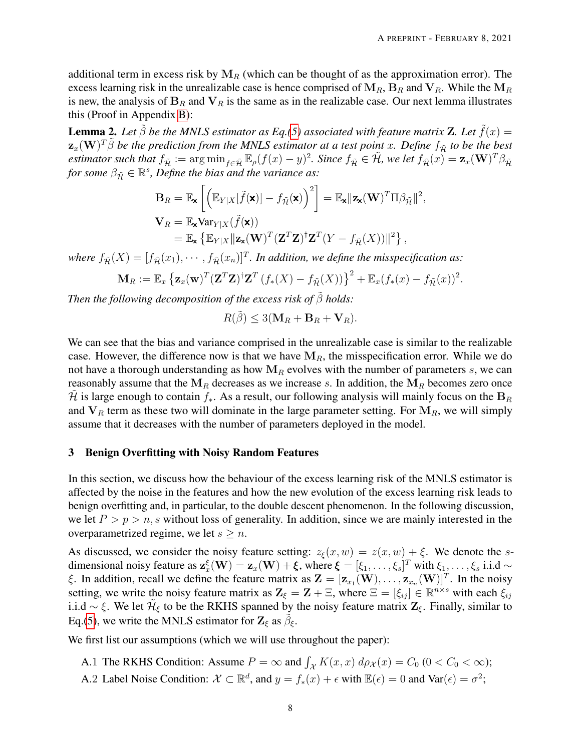additional term in excess risk by  $M_R$  (which can be thought of as the approximation error). The excess learning risk in the unrealizable case is hence comprised of  $M_R$ ,  $B_R$  and  $V_R$ . While the  $M_R$ is new, the analysis of  $B_R$  and  $V_R$  is the same as in the realizable case. Our next lemma illustrates this (Proof in Appendix [B\)](#page-29-1):

**Lemma 2.** Let  $\tilde{\beta}$  be the MNLS estimator as Eq.[\(5\)](#page-6-0) associated with feature matrix **Z**. Let  $\tilde{f}(x) =$  $\mathbf{z}_x(\mathbf{W})^T\tilde{\beta}$  be the prediction from the MNLS estimator at a test point  $x.$  Define  $f_{\tilde{\mathcal{H}}}$  to be the best  $estimator$  such that  $f_{\tilde{\mathcal{H}}} := \arg \min_{f \in \tilde{\mathcal{H}}} \mathbb{E}_{\rho}(f(x) - y)^2$ . Since  $f_{\tilde{\mathcal{H}}} \in \tilde{\mathcal{H}}$ , we let  $f_{\tilde{\mathcal{H}}}(x) = \mathbf{z}_x(\mathbf{W})^T \beta_{\tilde{\mathcal{H}}}$ for some  $\beta_{\tilde{H}} \in \mathbb{R}^s$ , Define the bias and the variance as:

$$
\mathbf{B}_{R} = \mathbb{E}_{\mathbf{x}} \left[ \left( \mathbb{E}_{Y|X} [\tilde{f}(\mathbf{x})] - f_{\tilde{\mathcal{H}}}(\mathbf{x}) \right)^{2} \right] = \mathbb{E}_{\mathbf{x}} ||\mathbf{z}_{\mathbf{x}}(\mathbf{W})^{T} \Pi \beta_{\tilde{\mathcal{H}}}||^{2},
$$
  
\n
$$
\mathbf{V}_{R} = \mathbb{E}_{\mathbf{x}} \text{Var}_{Y|X} (\tilde{f}(\mathbf{x}))
$$
  
\n
$$
= \mathbb{E}_{\mathbf{x}} \left\{ \mathbb{E}_{Y|X} ||\mathbf{z}_{\mathbf{x}}(\mathbf{W})^{T} (\mathbf{Z}^{T} \mathbf{Z})^{\dagger} \mathbf{Z}^{T} (Y - f_{\tilde{\mathcal{H}}} (X)) ||^{2} \right\},
$$

where  $f_{\tilde{\mathcal{H}}}(X) = [f_{\tilde{\mathcal{H}}}(x_1), \cdots, f_{\tilde{\mathcal{H}}}(x_n)]^T$ . In addition, we define the misspecification as:

$$
\mathbf{M}_R := \mathbb{E}_x \left\{ \mathbf{z}_x(\mathbf{w})^T (\mathbf{Z}^T \mathbf{Z})^{\dagger} \mathbf{Z}^T (f_*(X) - f_{\tilde{\mathcal{H}}}(X)) \right\}^2 + \mathbb{E}_x (f_*(x) - f_{\tilde{\mathcal{H}}}(x))^2.
$$

*Then the following decomposition of the excess risk of*  $\tilde{\beta}$  *holds:* 

$$
R(\tilde{\beta}) \le 3(\mathbf{M}_R + \mathbf{B}_R + \mathbf{V}_R).
$$

We can see that the bias and variance comprised in the unrealizable case is similar to the realizable case. However, the difference now is that we have  $M_R$ , the misspecification error. While we do not have a thorough understanding as how  $M_R$  evolves with the number of parameters s, we can reasonably assume that the  $M_R$  decreases as we increase s. In addition, the  $M_R$  becomes zero once H is large enough to contain  $f_*$ . As a result, our following analysis will mainly focus on the  $B_R$ and  $V_R$  term as these two will dominate in the large parameter setting. For  $M_R$ , we will simply assume that it decreases with the number of parameters deployed in the model.

# 3 Benign Overfitting with Noisy Random Features

In this section, we discuss how the behaviour of the excess learning risk of the MNLS estimator is affected by the noise in the features and how the new evolution of the excess learning risk leads to benign overfitting and, in particular, to the double descent phenomenon. In the following discussion, we let  $P > p > n$ , s without loss of generality. In addition, since we are mainly interested in the overparametrized regime, we let  $s \geq n$ .

As discussed, we consider the noisy feature setting:  $z_{\xi}(x, w) = z(x, w) + \xi$ . We denote the sdimensional noisy feature as  $\mathbf{z}_x^{\xi}(\mathbf{W}) = \mathbf{z}_x(\mathbf{W}) + \boldsymbol{\xi}$ , where  $\boldsymbol{\xi} = [\xi_1, \dots, \xi_s]^T$  with  $\xi_1, \dots, \xi_s$  i.i.d  $\sim$ ξ. In addition, recall we define the feature matrix as  $\mathbf{Z} = [\mathbf{z}_{x_1}(\mathbf{W}), \dots, \mathbf{z}_{x_n}(\mathbf{W})]^T$ . In the noisy setting, we write the noisy feature matrix as  $\mathbf{Z}_{\xi} = \mathbf{Z} + \Xi$ , where  $\Xi = [\xi_{ij}] \in \mathbb{R}^{n \times s}$  with each  $\xi_{ij}$ i.i.d ~  $\xi$ . We let  $\tilde{\mathcal{H}}_{\xi}$  to be the RKHS spanned by the noisy feature matrix  $\mathbf{Z}_{\xi}$ . Finally, similar to Eq.[\(5\)](#page-6-0), we write the MNLS estimator for  $\mathbf{Z}_{\xi}$  as  $\tilde{\beta}_{\xi}$ .

We first list our assumptions (which we will use throughout the paper):

- A.1 The RKHS Condition: Assume  $P = \infty$  and  $\int_{\mathcal{X}} K(x, x) d\rho_{\mathcal{X}}(x) = C_0 \ (0 < C_0 < \infty)$ ;
- A.2 Label Noise Condition:  $\mathcal{X} \subset \mathbb{R}^d$ , and  $y = f_*(x) + \epsilon$  with  $\mathbb{E}(\epsilon) = 0$  and  $\text{Var}(\epsilon) = \sigma^2$ ;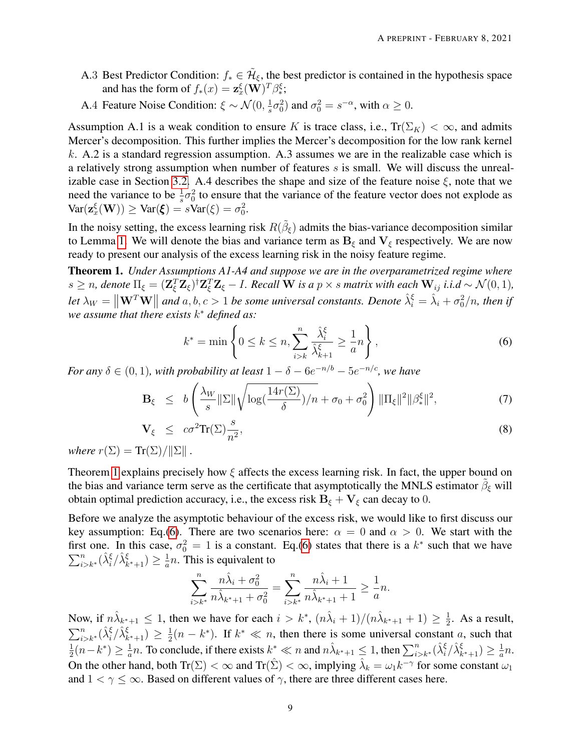- A.3 Best Predictor Condition:  $f_* \in \tilde{\mathcal{H}}_{\xi}$ , the best predictor is contained in the hypothesis space and has the form of  $f_*(x) = \mathbf{z}_x^{\xi}(\mathbf{W})^T \beta_*^{\xi}$ ;
- A.4 Feature Noise Condition:  $\xi \sim \mathcal{N}(0, \frac{1}{s})$  $(\frac{1}{s}\sigma_0^2)$  and  $\sigma_0^2 = s^{-\alpha}$ , with  $\alpha \geq 0$ .

Assumption A.1 is a weak condition to ensure K is trace class, i.e.,  $Tr(\Sigma_K) < \infty$ , and admits Mercer's decomposition. This further implies the Mercer's decomposition for the low rank kernel k. A.2 is a standard regression assumption. A.3 assumes we are in the realizable case which is a relatively strong assumption when number of features  $s$  is small. We will discuss the unreal-izable case in Section [3.2.](#page-12-1) A.4 describes the shape and size of the feature noise  $\xi$ , note that we need the variance to be  $\frac{1}{s}\sigma_0^2$  to ensure that the variance of the feature vector does not explode as  $\text{Var}(\mathbf{z}_{x}^{\xi}(\mathbf{W})) \geq \text{Var}(\xi) = s\text{Var}(\xi) = \sigma_0^2.$ 

In the noisy setting, the excess learning risk  $R(\tilde{\beta}_{\xi})$  admits the bias-variance decomposition similar to Lemma [1.](#page-6-2) We will denote the bias and variance term as  $B_{\xi}$  and  $V_{\xi}$  respectively. We are now ready to present our analysis of the excess learning risk in the noisy feature regime.

<span id="page-8-0"></span>Theorem 1. *Under Assumptions A1-A4 and suppose we are in the overparametrized regime where*  $s \geq n$ , denote  $\Pi_{\xi} = (\mathbf{Z}_{\xi}^T \mathbf{Z}_{\xi})^{\dagger} \mathbf{Z}_{\xi}^T \mathbf{Z}_{\xi} - I$ . Recall W is a  $p \times s$  matrix with each  $\mathbf{W}_{ij}$  i.i.d  $\sim \mathcal{N}(0, 1)$ , Let  $\lambda_W = \|\mathbf{W}^T \mathbf{W}\|$  and a, b,  $c > 1$  be some universal constants. Denote  $\hat{\lambda}_i^{\xi} = \hat{\lambda}_i + \sigma_0^2/n$ , then if *we assume that there exists* k <sup>∗</sup> *defined as:*

<span id="page-8-1"></span>
$$
k^* = \min\left\{0 \le k \le n, \sum_{i>k}^n \frac{\hat{\lambda}_i^{\xi}}{\hat{\lambda}_{k+1}^{\xi}} \ge \frac{1}{a}n\right\},\tag{6}
$$

*For any*  $\delta \in (0,1)$ *, with probability at least*  $1 - \delta - 6e^{-n/b} - 5e^{-n/c}$ *, we have* 

$$
\mathbf{B}_{\xi} \leq b \left( \frac{\lambda_W}{s} \|\Sigma\| \sqrt{\log(\frac{14r(\Sigma)}{\delta})/n} + \sigma_0 + \sigma_0^2 \right) \|\Pi_{\xi}\|^2 \|\beta_{\ast}^{\xi}\|^2, \tag{7}
$$

$$
\mathbf{V}_{\xi} \le c\sigma^2 \text{Tr}(\Sigma) \frac{s}{n^2}, \tag{8}
$$

*where*  $r(\Sigma) = \text{Tr}(\Sigma)/\|\Sigma\|$ .

Theorem [1](#page-8-0) explains precisely how  $\xi$  affects the excess learning risk. In fact, the upper bound on the bias and variance term serve as the certificate that asymptotically the MNLS estimator  $\tilde{\beta}_{\xi}$  will obtain optimal prediction accuracy, i.e., the excess risk  $B_{\xi} + V_{\xi}$  can decay to 0.

Before we analyze the asymptotic behaviour of the excess risk, we would like to first discuss our key assumption: Eq.[\(6\)](#page-8-1). There are two scenarios here:  $\alpha = 0$  and  $\alpha > 0$ . We start with the first one. In this case,  $\sigma_0^2 = 1$  is a constant. Eq.[\(6\)](#page-8-1) states that there is a  $k^*$  such that we have  $\sum_{i>k^*}^n(\hat{\lambda}_i^{\xi}/\hat{\lambda}_{k^*+1}^{\xi}) \geq \frac{1}{a}$  $\frac{1}{a}n$ . This is equivalent to

$$
\sum_{i>k^*}^n \frac{n\hat{\lambda}_i + \sigma_0^2}{n\hat{\lambda}_{k^*+1} + \sigma_0^2} = \sum_{i>k^*}^n \frac{n\hat{\lambda}_i + 1}{n\hat{\lambda}_{k^*+1} + 1} \ge \frac{1}{a}n.
$$

Now, if  $n\hat{\lambda}_{k^*+1} \leq 1$ , then we have for each  $i > k^*$ ,  $(n\hat{\lambda}_i + 1)/(n\hat{\lambda}_{k^*+1} + 1) \geq \frac{1}{2}$  $\frac{1}{2}$ . As a result,  $\sum_{i>k^*}^n(\hat{\lambda}_i^{\xi}/\hat{\lambda}_{k^*+1}^{\xi}) \geq \frac{1}{2}$  $\frac{1}{2}(n-k^*)$ . If  $k^* \ll n$ , then there is some universal constant a, such that 1  $\frac{1}{2}(n-k^*) \geq \frac{1}{a}$  $\frac{1}{a}n$ . To conclude, if there exists  $k^* \ll n$  and  $n\hat{\lambda}_{k^*+1} \leq 1$ , then  $\sum_{i>k^*}^n (\hat{\lambda}_i^{\xi}/\hat{\lambda}_{k^*+1}^{\xi}) \geq \frac{1}{a}$  $\frac{1}{a}n$ . On the other hand, both  $Tr(\Sigma) < \infty$  and  $Tr(\hat{\Sigma}) < \infty$ , implying  $\hat{\lambda}_k = \omega_1 k^{-\gamma}$  for some constant  $\omega_1$ and  $1 < \gamma \leq \infty$ . Based on different values of  $\gamma$ , there are three different cases here.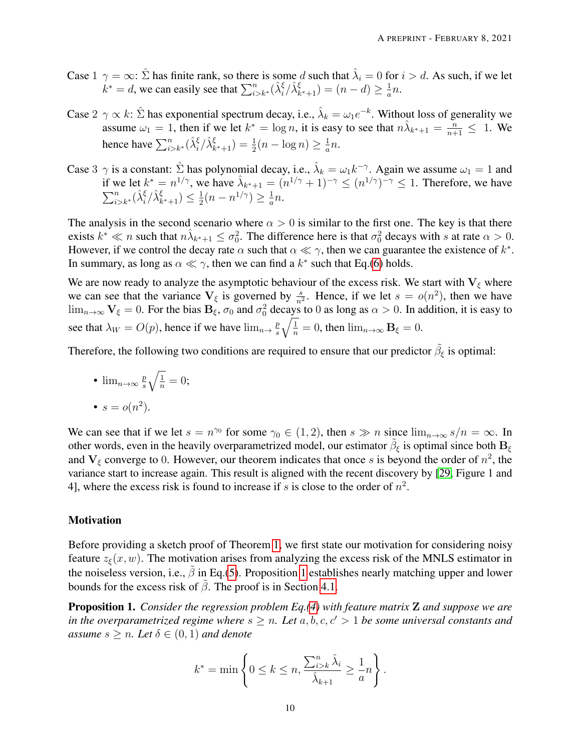- Case  $1 \gamma = \infty$ :  $\hat{\Sigma}$  has finite rank, so there is some d such that  $\hat{\lambda}_i = 0$  for  $i > d$ . As such, if we let  $k^* = d$ , we can easily see that  $\sum_{i>k^*}^n (\hat{\lambda}_i^{\xi} / \hat{\lambda}_{k^*+1}^{\xi}) = (n - d) \ge \frac{1}{a}$  $\frac{1}{a}n$ .
- Case  $2 \gamma \propto k$ :  $\hat{\Sigma}$  has exponential spectrum decay, i.e.,  $\hat{\lambda}_k = \omega_1 e^{-k}$ . Without loss of generality we assume  $\omega_1 = 1$ , then if we let  $k^* = \log n$ , it is easy to see that  $n\lambda_{k^*+1} = \frac{n}{n+1} \leq 1$ . We hence have  $\sum_{i>k^*}^n (\hat{\lambda}_i^{\xi} / \hat{\lambda}_{k^*+1}^{\xi}) = \frac{1}{2}(n - \log n) \ge \frac{1}{a}$  $\frac{1}{a}n$ .
- Case 3  $\gamma$  is a constant:  $\hat{\Sigma}$  has polynomial decay, i.e.,  $\hat{\lambda}_k = \omega_1 k^{-\gamma}$ . Again we assume  $\omega_1 = 1$  and if we let  $k^* = n^{1/\gamma}$ , we have  $\hat{\lambda}_{k^*+1} = (n^{1/\gamma} + 1)^{-\gamma} \le (n^{1/\gamma})^{-\gamma} \le 1$ . Therefore, we have  $\sum_{i>k^*}^n(\hat{\lambda}_i^{\xi}/\hat{\lambda}_{k^*+1}^{\xi})\leq \frac{1}{2}$  $\frac{1}{2}(n - n^{1/\gamma}) \geq \frac{1}{a}$  $\frac{1}{a}n$ .

The analysis in the second scenario where  $\alpha > 0$  is similar to the first one. The key is that there exists  $k^* \ll n$  such that  $n\hat{\lambda}_{k^*+1} \leq \sigma_0^2$ . The difference here is that  $\sigma_0^2$  decays with s at rate  $\alpha > 0$ . However, if we control the decay rate  $\alpha$  such that  $\alpha \ll \gamma$ , then we can guarantee the existence of  $k^*$ . In summary, as long as  $\alpha \ll \gamma$ , then we can find a  $k^*$  such that Eq.[\(6\)](#page-8-1) holds.

We are now ready to analyze the asymptotic behaviour of the excess risk. We start with  $V_{\xi}$  where we can see that the variance  $V_{\xi}$  is governed by  $\frac{s}{n^2}$ . Hence, if we let  $s = o(n^2)$ , then we have  $\lim_{n\to\infty}$   $V_{\xi}=0$ . For the bias  $B_{\xi}$ ,  $\sigma_0$  and  $\sigma_0^2$  decays to 0 as long as  $\alpha>0$ . In addition, it is easy to see that  $\lambda_W = O(p)$ , hence if we have  $\lim_{n \to \infty} \frac{p}{s}$ s  $\sqrt{\frac{1}{n}} = 0$ , then  $\lim_{n \to \infty} \mathbf{B}_{\xi} = 0$ .

Therefore, the following two conditions are required to ensure that our predictor  $\tilde{\beta}_{\xi}$  is optimal:

\n- $$
\lim_{n\to\infty} \frac{p}{s} \sqrt{\frac{1}{n}} = 0;
$$
\n- $s = o(n^2).$
\n

We can see that if we let  $s = n^{\gamma_0}$  for some  $\gamma_0 \in (1, 2)$ , then  $s \gg n$  since  $\lim_{n \to \infty} s/n = \infty$ . In other words, even in the heavily overparametrized model, our estimator  $\tilde{\beta}_{\xi}$  is optimal since both  $B_{\xi}$ and  $V_{\xi}$  converge to 0. However, our theorem indicates that once s is beyond the order of  $n^2$ , the variance start to increase again. This result is aligned with the recent discovery by [\[29,](#page-28-6) Figure 1 and 4], where the excess risk is found to increase if s is close to the order of  $n^2$ .

#### **Motivation**

Before providing a sketch proof of Theorem [1,](#page-8-0) we first state our motivation for considering noisy feature  $z_{\xi}(x, w)$ . The motivation arises from analyzing the excess risk of the MNLS estimator in the noiseless version, i.e.,  $\tilde{\beta}$  in Eq.[\(5\)](#page-6-0). Proposition [1](#page-9-0) establishes nearly matching upper and lower bounds for the excess risk of  $\tilde{\beta}$ . The proof is in Section [4.1.](#page-13-0)

<span id="page-9-0"></span>Proposition 1. *Consider the regression problem Eq.[\(4\)](#page-6-3) with feature matrix* Z *and suppose we are in the overparametrized regime where*  $s \geq n$ *. Let*  $a, b, c, c' > 1$  *be some universal constants and assume*  $s \geq n$ *. Let*  $\delta \in (0,1)$  *and denote* 

$$
k^* = \min\left\{0 \le k \le n, \frac{\sum_{i>k}^n \hat{\lambda}_i}{\hat{\lambda}_{k+1}} \ge \frac{1}{a}n\right\}.
$$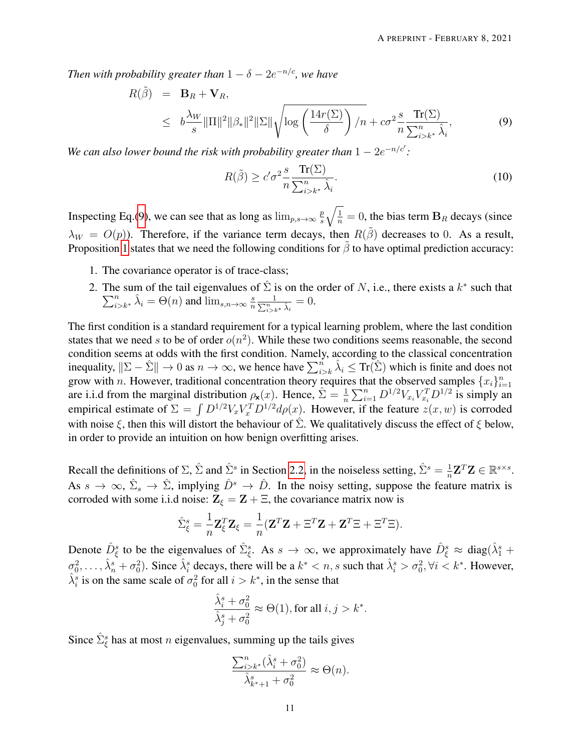*Then with probability greater than*  $1 - \delta - 2e^{-n/c}$ *, we have* 

<span id="page-10-0"></span>
$$
R(\tilde{\beta}) = \mathbf{B}_R + \mathbf{V}_R,
$$
  
\n
$$
\leq b \frac{\lambda_W}{s} ||\Pi||^2 ||\beta_*||^2 ||\Sigma|| \sqrt{\log \left(\frac{14r(\Sigma)}{\delta}\right) / n} + c\sigma^2 \frac{s}{n} \frac{\text{Tr}(\Sigma)}{\sum_{i>k^*}^n \hat{\lambda}_i},
$$
\n(9)

*We can also lower bound the risk with probability greater than*  $1 - 2e^{-n/c'}$ :

$$
R(\tilde{\beta}) \ge c' \sigma^2 \frac{s}{n} \frac{\operatorname{Tr}(\Sigma)}{\sum_{i>k^*}^n \hat{\lambda}_i}.
$$
 (10)

Inspecting Eq.[\(9\)](#page-10-0), we can see that as long as  $\lim_{p,s\to\infty} \frac{p}{s}$ s  $\sqrt{\frac{1}{n}} = 0$ , the bias term  $B_R$  decays (since  $\lambda_W = O(p)$ ). Therefore, if the variance term decays, then  $R(\tilde{\beta})$  decreases to 0. As a result, Proposition [1](#page-9-0) states that we need the following conditions for  $\tilde{\beta}$  to have optimal prediction accuracy:

- 1. The covariance operator is of trace-class;
- 2. The sum of the tail eigenvalues of  $\hat{\Sigma}$  is on the order of N, i.e., there exists a  $k^*$  $\sum$ is extended that that the tail eigenvalues of  $\Sigma$  is on the order of N, i.e., there exists a  $k^*$  such that  $\hat{n}$   $\lambda_i = \Theta(n)$  and  $\lim_{s,n \to \infty} \frac{s}{n} \frac{1}{\sum_{k=1}^n x_k \lambda_i} = 0$ .  $n \sum$  $\frac{1}{\sum\limits_{i>k^*}\hat{\lambda}_i}=0.$

The first condition is a standard requirement for a typical learning problem, where the last condition states that we need s to be of order  $o(n^2)$ . While these two conditions seems reasonable, the second condition seems at odds with the first condition. Namely, according to the classical concentration inequality,  $\|\Sigma - \hat{\Sigma}\| \to 0$  as  $n \to \infty$ , we hence have  $\sum_{i>k}^{n} \hat{\lambda}_i \leq \text{Tr}(\hat{\Sigma})$  which is finite and does not grow with *n*. However, traditional concentration theory requires that the observed samples  $\{x_i\}_{i=1}^n$ are i.i.d from the marginal distribution  $\rho_{\mathbf{x}}(x)$ . Hence,  $\hat{\Sigma} = \frac{1}{n} \sum_{i=1}^{n} D^{1/2} V_{x_i} V_{x_i}^T D^{1/2}$  is simply an empirical estimate of  $\Sigma = \int D^{1/2} V_x V_x^T D^{1/2} d\rho(x)$ . However, if the feature  $z(x, w)$  is corroded with noise  $\xi$ , then this will distort the behaviour of  $\Sigma$ . We qualitatively discuss the effect of  $\xi$  below, in order to provide an intuition on how benign overfitting arises.

Recall the definitions of  $\Sigma$ ,  $\hat{\Sigma}$  and  $\hat{\Sigma}^s$  in Section [2.2,](#page-4-0) in the noiseless setting,  $\hat{\Sigma}^s = \frac{1}{n}$  $\frac{1}{n} \mathbf{Z}^T \mathbf{Z} \in \mathbb{R}^{s \times s}$ . As  $s \to \infty$ ,  $\hat{\Sigma}_s \to \hat{\Sigma}$ , implying  $\hat{D}^s \to \hat{D}$ . In the noisy setting, suppose the feature matrix is corroded with some i.i.d noise:  $\mathbf{Z}_{\xi} = \mathbf{Z} + \Xi$ , the covariance matrix now is

$$
\hat{\Sigma}_{\xi}^{s} = \frac{1}{n} \mathbf{Z}_{\xi}^{T} \mathbf{Z}_{\xi} = \frac{1}{n} (\mathbf{Z}^{T} \mathbf{Z} + \Xi^{T} \mathbf{Z} + \mathbf{Z}^{T} \Xi + \Xi^{T} \Xi).
$$

Denote  $\hat{D}_{\xi}^s$  to be the eigenvalues of  $\hat{\Sigma}_{\xi}^s$ . As  $s \to \infty$ , we approximately have  $\hat{D}_{\xi}^s \approx \text{diag}(\hat{\lambda}_1^s +$  $\sigma_0^2, \ldots, \hat{\lambda}_n^s + \sigma_0^2$ ). Since  $\hat{\lambda}_i^s$  decays, there will be a  $k^* < n$ , s such that  $\hat{\lambda}_i^s > \sigma_0^2$ ,  $\forall i < k^*$ . However,  $\hat{\lambda}_i^s$  is on the same scale of  $\sigma_0^2$  for all  $i > k^*$ , in the sense that

$$
\frac{\hat{\lambda}_i^s + \sigma_0^2}{\hat{\lambda}_j^s + \sigma_0^2} \approx \Theta(1), \text{for all } i,j > k^*.
$$

Since  $\hat{\Sigma}_{\xi}^{s}$  has at most *n* eigenvalues, summing up the tails gives

$$
\frac{\sum_{i>k^*}^n (\hat{\lambda}_i^s + \sigma_0^2)}{\hat{\lambda}_{k^*+1}^s + \sigma_0^2} \approx \Theta(n).
$$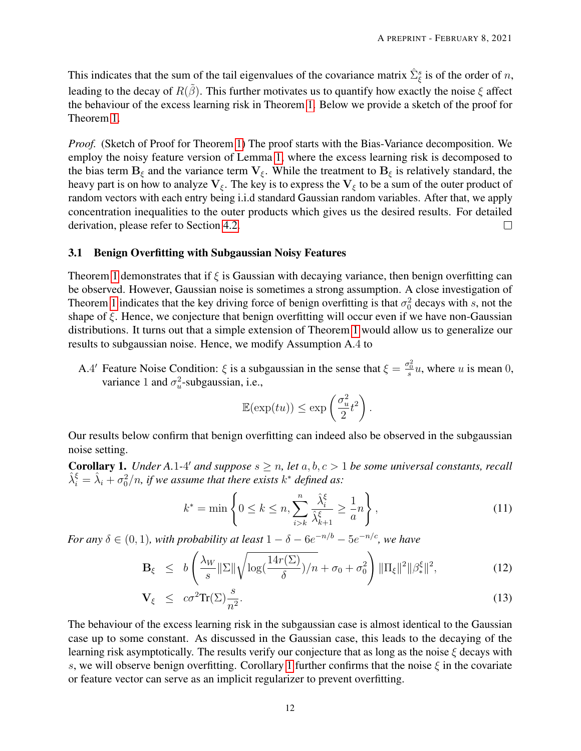This indicates that the sum of the tail eigenvalues of the covariance matrix  $\hat{\Sigma}_{\xi}^{s}$  is of the order of n, leading to the decay of  $R(\tilde{\beta})$ . This further motivates us to quantify how exactly the noise  $\xi$  affect the behaviour of the excess learning risk in Theorem [1.](#page-8-0) Below we provide a sketch of the proof for Theorem [1.](#page-8-0)

*Proof.* (Sketch of Proof for Theorem [1\)](#page-8-0) The proof starts with the Bias-Variance decomposition. We employ the noisy feature version of Lemma [1,](#page-6-2) where the excess learning risk is decomposed to the bias term  $B_{\xi}$  and the variance term  $V_{\xi}$ . While the treatment to  $B_{\xi}$  is relatively standard, the heavy part is on how to analyze  $V_{\xi}$ . The key is to express the  $V_{\xi}$  to be a sum of the outer product of random vectors with each entry being i.i.d standard Gaussian random variables. After that, we apply concentration inequalities to the outer products which gives us the desired results. For detailed derivation, please refer to Section [4.2.](#page-19-0)  $\Box$ 

### 3.1 Benign Overfitting with Subgaussian Noisy Features

Theorem [1](#page-8-0) demonstrates that if  $\xi$  is Gaussian with decaying variance, then benign overfitting can be observed. However, Gaussian noise is sometimes a strong assumption. A close investigation of Theorem [1](#page-8-0) indicates that the key driving force of benign overfitting is that  $\sigma_0^2$  decays with s, not the shape of  $\xi$ . Hence, we conjecture that benign overfitting will occur even if we have non-Gaussian distributions. It turns out that a simple extension of Theorem [1](#page-8-0) would allow us to generalize our results to subgaussian noise. Hence, we modify Assumption A.4 to

A.4' Feature Noise Condition:  $\xi$  is a subgaussian in the sense that  $\xi = \frac{\sigma_0^2}{s} u$ , where u is mean 0, variance 1 and  $\sigma_u^2$ -subgaussian, i.e.,

$$
\mathbb{E}(\exp(tu)) \le \exp\left(\frac{\sigma_u^2}{2}t^2\right).
$$

Our results below confirm that benign overfitting can indeed also be observed in the subgaussian noise setting.

<span id="page-11-0"></span>**Corollary 1.** *Under A.1-4' and suppose*  $s \geq n$ , *let*  $a, b, c > 1$  *be some universal constants, recall*  $\hat{\lambda}_i^{\xi} = \hat{\lambda}_i + \sigma_0^2/n$ , if we assume that there exists  $k^*$  defined as:

<span id="page-11-1"></span>
$$
k^* = \min\left\{0 \le k \le n, \sum_{i>k}^n \frac{\hat{\lambda}_i^{\xi}}{\hat{\lambda}_{k+1}^{\xi}} \ge \frac{1}{a}n\right\},\tag{11}
$$

*For any*  $\delta \in (0,1)$ *, with probability at least*  $1 - \delta - 6e^{-n/b} - 5e^{-n/c}$ *, we have* 

<span id="page-11-2"></span>
$$
\mathbf{B}_{\xi} \leq b \left( \frac{\lambda_W}{s} \|\Sigma\| \sqrt{\log(\frac{14r(\Sigma)}{\delta})/n} + \sigma_0 + \sigma_0^2 \right) \|\Pi_{\xi}\|^2 \|\beta^{\xi}_{*}\|^2, \tag{12}
$$

$$
\mathbf{V}_{\xi} \le c\sigma^2 \text{Tr}(\Sigma) \frac{s}{n^2}.
$$
 (13)

The behaviour of the excess learning risk in the subgaussian case is almost identical to the Gaussian case up to some constant. As discussed in the Gaussian case, this leads to the decaying of the learning risk asymptotically. The results verify our conjecture that as long as the noise  $\xi$  decays with s, we will observe benign overfitting. Corollary [1](#page-11-0) further confirms that the noise  $\xi$  in the covariate or feature vector can serve as an implicit regularizer to prevent overfitting.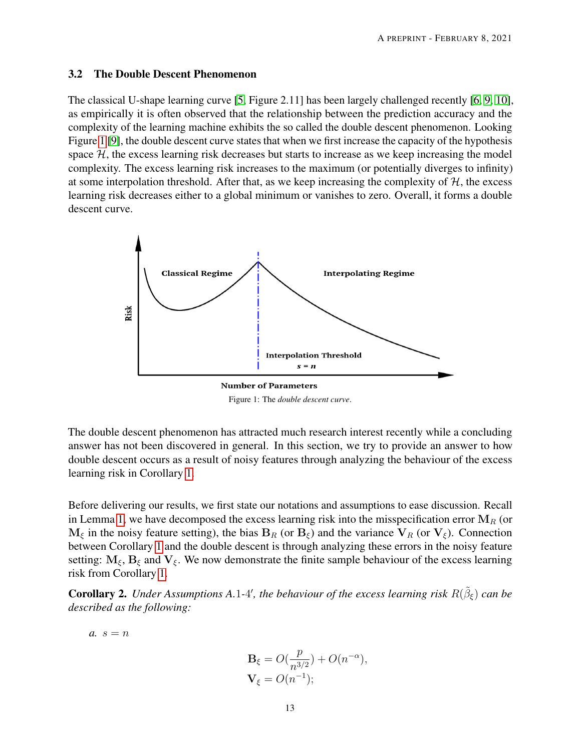### <span id="page-12-1"></span>3.2 The Double Descent Phenomenon

The classical U-shape learning curve [\[5,](#page-26-4) Figure 2.11] has been largely challenged recently [\[6,](#page-26-5) [9,](#page-27-2) [10\]](#page-27-3), as empirically it is often observed that the relationship between the prediction accuracy and the complexity of the learning machine exhibits the so called the double descent phenomenon. Looking Figure [1](#page-12-2) [\[9\]](#page-27-2), the double descent curve states that when we first increase the capacity of the hypothesis space  $H$ , the excess learning risk decreases but starts to increase as we keep increasing the model complexity. The excess learning risk increases to the maximum (or potentially diverges to infinity) at some interpolation threshold. After that, as we keep increasing the complexity of  $H$ , the excess learning risk decreases either to a global minimum or vanishes to zero. Overall, it forms a double descent curve.

<span id="page-12-2"></span>

Figure 1: The *double descent curve*.

The double descent phenomenon has attracted much research interest recently while a concluding answer has not been discovered in general. In this section, we try to provide an answer to how double descent occurs as a result of noisy features through analyzing the behaviour of the excess learning risk in Corollary [1.](#page-11-0)

Before delivering our results, we first state our notations and assumptions to ease discussion. Recall in Lemma [1,](#page-6-2) we have decomposed the excess learning risk into the misspecification error  $M_R$  (or  $M_{\xi}$  in the noisy feature setting), the bias  $B_R$  (or  $B_{\xi}$ ) and the variance  $V_R$  (or  $V_{\xi}$ ). Connection between Corollary [1](#page-11-0) and the double descent is through analyzing these errors in the noisy feature setting:  $M_{\xi}$ ,  $B_{\xi}$  and  $V_{\xi}$ . We now demonstrate the finite sample behaviour of the excess learning risk from Corollary [1.](#page-11-0)

<span id="page-12-0"></span>**Corollary 2.** Under Assumptions A.1-4', the behaviour of the excess learning risk  $R(\tilde{\beta}_{\xi})$  can be *described as the following:*

$$
a. s=n
$$

$$
\mathbf{B}_{\xi} = O(\frac{p}{n^{3/2}}) + O(n^{-\alpha}),
$$
  

$$
\mathbf{V}_{\xi} = O(n^{-1});
$$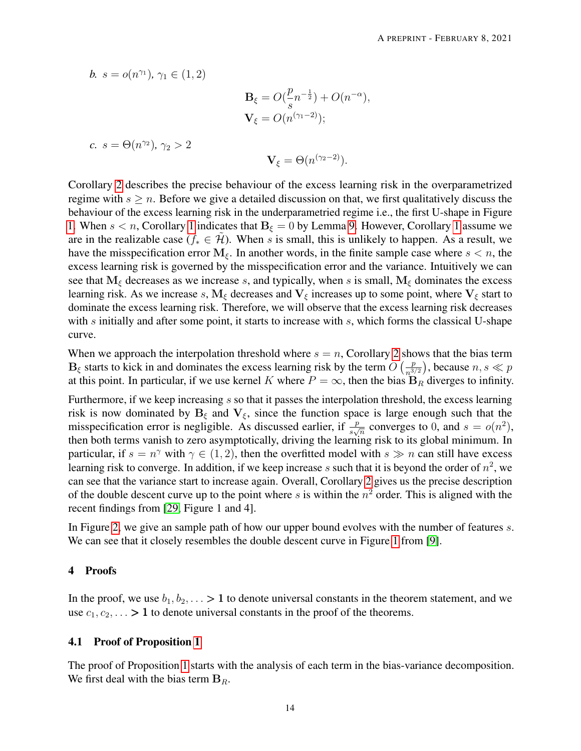b. 
$$
s = o(n^{\gamma_1}), \gamma_1 \in (1, 2)
$$
  
\n
$$
\mathbf{B}_{\xi} = O(\frac{p}{s}n^{-\frac{1}{2}}) + O(n^{-\alpha}),
$$
\n
$$
\mathbf{V}_{\xi} = O(n^{(\gamma_1 - 2)});
$$
\nc.  $s = \Theta(n^{\gamma_2}), \gamma_2 > 2$   
\n
$$
\mathbf{V}_{\xi} = \Theta(n^{(\gamma_2 - 2)}).
$$

Corollary [2](#page-12-0) describes the precise behaviour of the excess learning risk in the overparametrized regime with  $s \geq n$ . Before we give a detailed discussion on that, we first qualitatively discuss the behaviour of the excess learning risk in the underparametried regime i.e., the first U-shape in Figure [1.](#page-12-2) When  $s < n$ , Corollary [1](#page-11-0) indicates that  $B_{\xi} = 0$  by Lemma [9.](#page-29-2) However, Corollary 1 assume we are in the realizable case ( $f_* \in \mathcal{H}$ ). When s is small, this is unlikely to happen. As a result, we have the misspecification error  $M_{\xi}$ . In another words, in the finite sample case where  $s < n$ , the excess learning risk is governed by the misspecification error and the variance. Intuitively we can see that  $M_{\xi}$  decreases as we increase s, and typically, when s is small,  $M_{\xi}$  dominates the excess learning risk. As we increase s,  $M_{\xi}$  decreases and  $V_{\xi}$  increases up to some point, where  $V_{\xi}$  start to dominate the excess learning risk. Therefore, we will observe that the excess learning risk decreases with s initially and after some point, it starts to increase with s, which forms the classical U-shape curve.

When we approach the interpolation threshold where  $s = n$ , Corollary [2](#page-12-0) shows that the bias term  $\mathbf{B}_{\xi}$  starts to kick in and dominates the excess learning risk by the term  $O\left(\frac{p}{n^3}\right)$  $\left(\frac{p}{n^{3/2}}\right)$ , because  $n, s \ll p$ at this point. In particular, if we use kernel K where  $P = \infty$ , then the bias  $B_R$  diverges to infinity.

Furthermore, if we keep increasing s so that it passes the interpolation threshold, the excess learning risk is now dominated by  $B_{\xi}$  and  $V_{\xi}$ , since the function space is large enough such that the misspecification error is negligible. As discussed earlier, if  $\frac{p}{s\sqrt{n}}$  converges to 0, and  $s = o(n^2)$ , then both terms vanish to zero asymptotically, driving the learning risk to its global minimum. In particular, if  $s = n^{\gamma}$  with  $\gamma \in (1, 2)$ , then the overfitted model with  $s \gg n$  can still have excess learning risk to converge. In addition, if we keep increase s such that it is beyond the order of  $n^2$ , we can see that the variance start to increase again. Overall, Corollary [2](#page-12-0) gives us the precise description of the double descent curve up to the point where s is within the  $n^2$  order. This is aligned with the recent findings from [\[29,](#page-28-6) Figure 1 and 4].

In Figure [2,](#page-14-0) we give an sample path of how our upper bound evolves with the number of features s. We can see that it closely resembles the double descent curve in Figure [1](#page-12-2) from [\[9\]](#page-27-2).

# 4 Proofs

In the proof, we use  $b_1, b_2, \ldots > 1$  to denote universal constants in the theorem statement, and we use  $c_1, c_2, \ldots > 1$  to denote universal constants in the proof of the theorems.

# <span id="page-13-0"></span>4.1 Proof of Proposition [1](#page-9-0)

The proof of Proposition [1](#page-9-0) starts with the analysis of each term in the bias-variance decomposition. We first deal with the bias term  $B_R$ .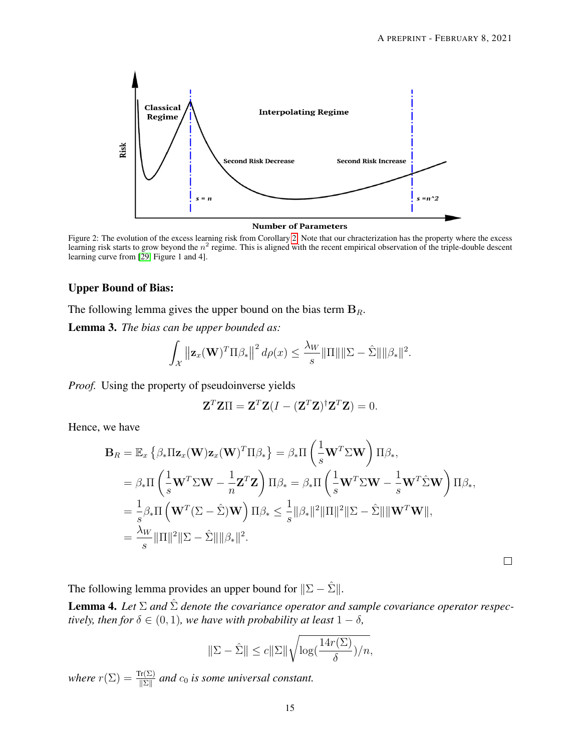<span id="page-14-0"></span>

**Number of Parameters** 

Figure 2: The evolution of the excess learning risk from Corollary [2.](#page-12-0) Note that our chracterization has the property where the excess learning risk starts to grow beyond the  $n^2$  regime. This is aligned with the recent empirical observation of the triple-double descent learning curve from [\[29,](#page-28-6) Figure 1 and 4].

#### Upper Bound of Bias:

The following lemma gives the upper bound on the bias term  $B_R$ .

<span id="page-14-1"></span>Lemma 3. *The bias can be upper bounded as:*

$$
\int_{\mathcal{X}} \left\| \mathbf{z}_x(\mathbf{W})^T \Pi \beta_* \right\|^2 d\rho(x) \leq \frac{\lambda_W}{s} \|\Pi\| \|\Sigma - \hat{\Sigma}\| \|\beta_*\|^2.
$$

*Proof.* Using the property of pseudoinverse yields

$$
\mathbf{Z}^T \mathbf{Z} \Pi = \mathbf{Z}^T \mathbf{Z} (I - (\mathbf{Z}^T \mathbf{Z})^{\dagger} \mathbf{Z}^T \mathbf{Z}) = 0.
$$

Hence, we have

$$
\mathbf{B}_{R} = \mathbb{E}_{x} \left\{ \beta_{*} \Pi \mathbf{z}_{x}(\mathbf{W}) \mathbf{z}_{x}(\mathbf{W})^{T} \Pi \beta_{*} \right\} = \beta_{*} \Pi \left( \frac{1}{s} \mathbf{W}^{T} \Sigma \mathbf{W} \right) \Pi \beta_{*},
$$
  
\n
$$
= \beta_{*} \Pi \left( \frac{1}{s} \mathbf{W}^{T} \Sigma \mathbf{W} - \frac{1}{n} \mathbf{Z}^{T} \mathbf{Z} \right) \Pi \beta_{*} = \beta_{*} \Pi \left( \frac{1}{s} \mathbf{W}^{T} \Sigma \mathbf{W} - \frac{1}{s} \mathbf{W}^{T} \hat{\Sigma} \mathbf{W} \right) \Pi \beta_{*},
$$
  
\n
$$
= \frac{1}{s} \beta_{*} \Pi \left( \mathbf{W}^{T} (\Sigma - \hat{\Sigma}) \mathbf{W} \right) \Pi \beta_{*} \leq \frac{1}{s} ||\beta_{*}||^{2} ||\Pi||^{2} ||\Sigma - \hat{\Sigma}|| ||\mathbf{W}^{T} \mathbf{W}||,
$$
  
\n
$$
= \frac{\lambda_{W}}{s} ||\Pi||^{2} ||\Sigma - \hat{\Sigma}|| ||\beta_{*}||^{2}.
$$

 $\Box$ 

The following lemma provides an upper bound for  $||\Sigma - \hat{\Sigma}||$ .

<span id="page-14-2"></span>**Lemma 4.** Let  $\Sigma$  and  $\hat{\Sigma}$  denote the covariance operator and sample covariance operator respec*tively, then for*  $\delta \in (0, 1)$ *, we have with probability at least*  $1 - \delta$ *,* 

$$
\|\Sigma - \hat{\Sigma}\| \le c \|\Sigma\| \sqrt{\log(\frac{14r(\Sigma)}{\delta})/n},
$$

*where*  $r(\Sigma) = \frac{\text{Tr}(\Sigma)}{\|\Sigma\|}$  and  $c_0$  *is some universal constant.*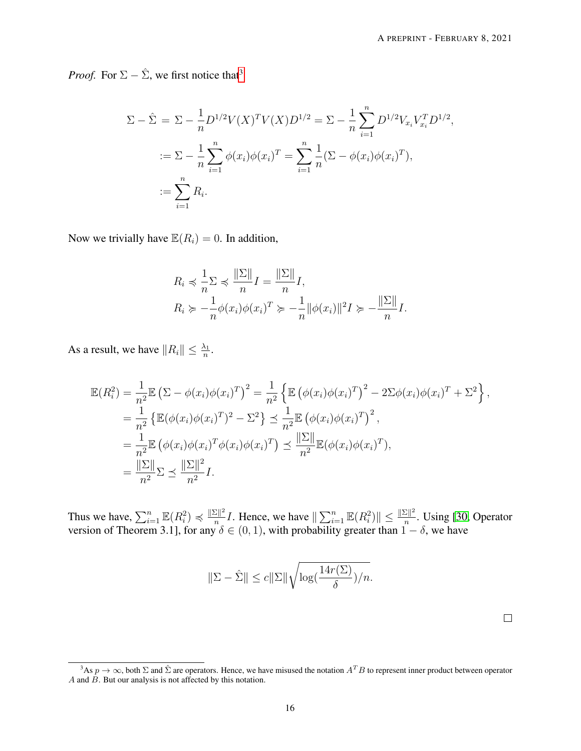*Proof.* For  $\Sigma - \hat{\Sigma}$ , we first notice that<sup>[3](#page-15-0)</sup>

$$
\Sigma - \hat{\Sigma} = \Sigma - \frac{1}{n} D^{1/2} V(X)^T V(X) D^{1/2} = \Sigma - \frac{1}{n} \sum_{i=1}^n D^{1/2} V_{x_i} V_{x_i}^T D^{1/2},
$$
  

$$
:= \Sigma - \frac{1}{n} \sum_{i=1}^n \phi(x_i) \phi(x_i)^T = \sum_{i=1}^n \frac{1}{n} (\Sigma - \phi(x_i) \phi(x_i)^T),
$$
  

$$
:= \sum_{i=1}^n R_i.
$$

Now we trivially have  $\mathbb{E}(R_i) = 0$ . In addition,

$$
R_i \preccurlyeq \frac{1}{n} \sum \preccurlyeq \frac{\|\Sigma\|}{n} I = \frac{\|\Sigma\|}{n} I,
$$
  
\n
$$
R_i \succcurlyeq -\frac{1}{n} \phi(x_i) \phi(x_i)^T \succcurlyeq -\frac{1}{n} \|\phi(x_i)\|^2 I \succcurlyeq -\frac{\|\Sigma\|}{n} I.
$$

As a result, we have  $||R_i|| \leq \frac{\lambda_1}{n}$ .

$$
\mathbb{E}(R_i^2) = \frac{1}{n^2} \mathbb{E} \left( \Sigma - \phi(x_i) \phi(x_i)^T \right)^2 = \frac{1}{n^2} \left\{ \mathbb{E} \left( \phi(x_i) \phi(x_i)^T \right)^2 - 2\Sigma \phi(x_i) \phi(x_i)^T + \Sigma^2 \right\},
$$
  
\n
$$
= \frac{1}{n^2} \left\{ \mathbb{E} (\phi(x_i) \phi(x_i)^T)^2 - \Sigma^2 \right\} \le \frac{1}{n^2} \mathbb{E} \left( \phi(x_i) \phi(x_i)^T \right)^2,
$$
  
\n
$$
= \frac{1}{n^2} \mathbb{E} \left( \phi(x_i) \phi(x_i)^T \phi(x_i) \phi(x_i)^T \right) \le \frac{\|\Sigma\|}{n^2} \mathbb{E} (\phi(x_i) \phi(x_i)^T),
$$
  
\n
$$
= \frac{\|\Sigma\|}{n^2} \Sigma \le \frac{\|\Sigma\|^2}{n^2} I.
$$

Thus we have,  $\sum_{i=1}^{n} \mathbb{E}(R_i^2) \preccurlyeq \frac{\|\Sigma\|^2}{n}$  $\frac{|\Sigma||^2}{n}I$ . Hence, we have  $\|\sum_{i=1}^n \mathbb{E}(R_i^2)\| \le \frac{\|\Sigma\|^2}{n}$  $\frac{\sum ||r||}{n}$ . Using [\[30,](#page-28-7) Operator version of Theorem 3.1], for any  $\delta \in (0,1)$ , with probability greater than  $1-\delta$ , we have

$$
\|\Sigma - \hat{\Sigma}\| \le c \|\Sigma\| \sqrt{\log(\frac{14r(\Sigma)}{\delta})/n}.
$$

<span id="page-15-0"></span><sup>&</sup>lt;sup>3</sup>As  $p \to \infty$ , both  $\Sigma$  and  $\hat{\Sigma}$  are operators. Hence, we have misused the notation  $A^T B$  to represent inner product between operator A and  $\overrightarrow{B}$ . But our analysis is not affected by this notation.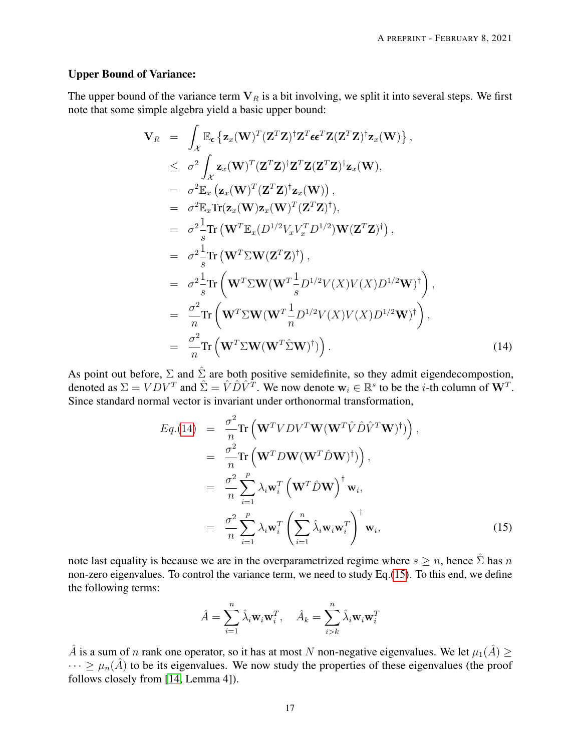### Upper Bound of Variance:

The upper bound of the variance term  $V_R$  is a bit involving, we split it into several steps. We first note that some simple algebra yield a basic upper bound:

<span id="page-16-0"></span>
$$
\mathbf{V}_{R} = \int_{\mathcal{X}} \mathbb{E}_{\epsilon} \left\{ \mathbf{z}_{x}(\mathbf{W})^{T}(\mathbf{Z}^{T}\mathbf{Z})^{\dagger} \mathbf{Z}^{T} \epsilon \epsilon^{T} \mathbf{Z}(\mathbf{Z}^{T}\mathbf{Z})^{\dagger} \mathbf{z}_{x}(\mathbf{W}) \right\},
$$
\n
$$
\leq \sigma^{2} \int_{\mathcal{X}} \mathbf{z}_{x}(\mathbf{W})^{T}(\mathbf{Z}^{T}\mathbf{Z})^{\dagger} \mathbf{Z}^{T} \mathbf{Z}(\mathbf{Z}^{T}\mathbf{Z})^{\dagger} \mathbf{z}_{x}(\mathbf{W}),
$$
\n
$$
= \sigma^{2} \mathbb{E}_{x} \left( \mathbf{z}_{x}(\mathbf{W})^{T}(\mathbf{Z}^{T}\mathbf{Z})^{\dagger} \mathbf{z}_{x}(\mathbf{W}) \right),
$$
\n
$$
= \sigma^{2} \mathbb{E}_{x} \text{Tr}(\mathbf{z}_{x}(\mathbf{W}) \mathbf{z}_{x}(\mathbf{W})^{T}(\mathbf{Z}^{T}\mathbf{Z})^{\dagger}),
$$
\n
$$
= \sigma^{2} \frac{1}{s} \text{Tr} \left( \mathbf{W}^{T} \mathbb{E}_{x}(\mathbf{D}^{1/2} V_{x} V_{x}^{T} \mathbf{D}^{1/2}) \mathbf{W}(\mathbf{Z}^{T} \mathbf{Z})^{\dagger} \right),
$$
\n
$$
= \sigma^{2} \frac{1}{s} \text{Tr} \left( \mathbf{W}^{T} \Sigma \mathbf{W}(\mathbf{W}^{T} \frac{1}{s} \mathbf{D}^{1/2} V(X) V(X) \mathbf{D}^{1/2} \mathbf{W})^{\dagger} \right),
$$
\n
$$
= \frac{\sigma^{2}}{n} \text{Tr} \left( \mathbf{W}^{T} \Sigma \mathbf{W}(\mathbf{W}^{T} \frac{1}{n} \mathbf{D}^{1/2} V(X) V(X) \mathbf{D}^{1/2} \mathbf{W})^{\dagger} \right),
$$
\n
$$
= \frac{\sigma^{2}}{n} \text{Tr} \left( \mathbf{W}^{T} \Sigma \mathbf{W
$$

As point out before,  $\Sigma$  and  $\hat{\Sigma}$  are both positive semidefinite, so they admit eigendecompostion, denoted as  $\Sigma = VDV^T$  and  $\hat{\Sigma} = \hat{V}\hat{D}\hat{V}^T$ . We now denote  $\mathbf{w}_i \in \mathbb{R}^s$  to be the *i*-th column of  $\mathbf{W}^T$ . Since standard normal vector is invariant under orthonormal transformation,

<span id="page-16-1"></span>
$$
Eq.(14) = \frac{\sigma^2}{n} \text{Tr} \left( \mathbf{W}^T V D V^T \mathbf{W} (\mathbf{W}^T \hat{V} \hat{D} \hat{V}^T \mathbf{W})^{\dagger} \right),
$$
  
\n
$$
= \frac{\sigma^2}{n} \text{Tr} \left( \mathbf{W}^T D \mathbf{W} (\mathbf{W}^T \hat{D} \mathbf{W})^{\dagger} \right),
$$
  
\n
$$
= \frac{\sigma^2}{n} \sum_{i=1}^p \lambda_i \mathbf{w}_i^T \left( \mathbf{W}^T \hat{D} \mathbf{W} \right)^{\dagger} \mathbf{w}_i,
$$
  
\n
$$
= \frac{\sigma^2}{n} \sum_{i=1}^p \lambda_i \mathbf{w}_i^T \left( \sum_{i=1}^n \hat{\lambda}_i \mathbf{w}_i \mathbf{w}_i^T \right)^{\dagger} \mathbf{w}_i,
$$
(15)

note last equality is because we are in the overparametrized regime where  $s \geq n$ , hence  $\hat{\Sigma}$  has n non-zero eigenvalues. To control the variance term, we need to study Eq.[\(15\)](#page-16-1). To this end, we define the following terms:

$$
\hat{A} = \sum_{i=1}^{n} \hat{\lambda}_i \mathbf{w}_i \mathbf{w}_i^T, \quad \hat{A}_k = \sum_{i>k}^{n} \hat{\lambda}_i \mathbf{w}_i \mathbf{w}_i^T
$$

 $\hat{A}$  is a sum of n rank one operator, so it has at most N non-negative eigenvalues. We let  $\mu_1(\hat{A}) \geq$  $\cdots \geq \mu_n(\hat{A})$  to be its eigenvalues. We now study the properties of these eigenvalues (the proof follows closely from [\[14,](#page-27-7) Lemma 4]).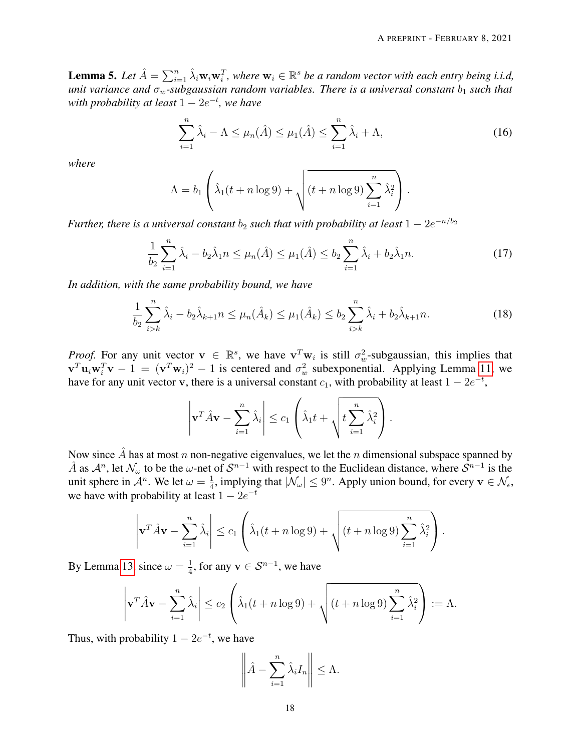<span id="page-17-3"></span>**Lemma 5.** Let  $\hat{A} = \sum_{i=1}^n \hat{\lambda}_i \mathbf{w}_i \mathbf{w}_i^T$ , where  $\mathbf{w}_i \in \mathbb{R}^s$  be a random vector with each entry being i.i.d, *unit variance and*  $\sigma_w$ -subgaussian random variables. There is a universal constant  $b_1$  *such that with probability at least* 1 − 2e −t *, we have*

<span id="page-17-0"></span>
$$
\sum_{i=1}^{n} \hat{\lambda}_i - \Lambda \le \mu_n(\hat{A}) \le \mu_1(\hat{A}) \le \sum_{i=1}^{n} \hat{\lambda}_i + \Lambda,\tag{16}
$$

*where*

$$
\Lambda = b_1 \left( \hat{\lambda}_1(t + n \log 9) + \sqrt{(t + n \log 9) \sum_{i=1}^n \hat{\lambda}_i^2} \right).
$$

*Further, there is a universal constant*  $b_2$  *such that with probability at least*  $1 - 2e^{-n/b_2}$ 

<span id="page-17-1"></span>
$$
\frac{1}{b_2} \sum_{i=1}^n \hat{\lambda}_i - b_2 \hat{\lambda}_1 n \le \mu_n(\hat{A}) \le \mu_1(\hat{A}) \le b_2 \sum_{i=1}^n \hat{\lambda}_i + b_2 \hat{\lambda}_1 n. \tag{17}
$$

*In addition, with the same probability bound, we have*

<span id="page-17-2"></span>
$$
\frac{1}{b_2} \sum_{i>k}^{n} \hat{\lambda}_i - b_2 \hat{\lambda}_{k+1} n \le \mu_n(\hat{A}_k) \le \mu_1(\hat{A}_k) \le b_2 \sum_{i>k}^{n} \hat{\lambda}_i + b_2 \hat{\lambda}_{k+1} n. \tag{18}
$$

*Proof.* For any unit vector  $\mathbf{v} \in \mathbb{R}^s$ , we have  $\mathbf{v}^T \mathbf{w}_i$  is still  $\sigma_w^2$ -subgaussian, this implies that  $\mathbf{v}^T \mathbf{u}_i \mathbf{w}_i^T \mathbf{v} - 1 = (\mathbf{v}^T \mathbf{w}_i)^2 - 1$  is centered and  $\sigma_w^2$  subexponential. Applying Lemma [11,](#page-30-0) we have for any unit vector v, there is a universal constant  $c_1$ , with probability at least  $1 - 2e^{-t}$ ,

$$
\left|\mathbf{v}^T \hat{A} \mathbf{v} - \sum_{i=1}^n \hat{\lambda}_i \right| \leq c_1 \left( \hat{\lambda}_1 t + \sqrt{t \sum_{i=1}^n \hat{\lambda}_i^2} \right).
$$

Now since  $\hat{A}$  has at most n non-negative eigenvalues, we let the n dimensional subspace spanned by  $\hat{A}$  as  $\mathcal{A}^n$ , let  $\mathcal{N}_\omega$  to be the  $\omega$ -net of  $\mathcal{S}^{n-1}$  with respect to the Euclidean distance, where  $\hat{\mathcal{S}}^{n-1}$  is the unit sphere in  $\mathcal{A}^n$ . We let  $\omega = \frac{1}{4}$  $\frac{1}{4}$ , implying that  $|\mathcal{N}_{\omega}| \leq 9^n$ . Apply union bound, for every  $\mathbf{v} \in \mathcal{N}_{\epsilon}$ , we have with probability at least  $1 - 2e^{-t}$ 

$$
\left|\mathbf{v}^T \hat{A} \mathbf{v} - \sum_{i=1}^n \hat{\lambda}_i \right| \le c_1 \left( \hat{\lambda}_1(t+n \log 9) + \sqrt{(t+n \log 9) \sum_{i=1}^n \hat{\lambda}_i^2} \right).
$$

By Lemma [13,](#page-30-1) since  $\omega = \frac{1}{4}$  $\frac{1}{4}$ , for any  $\mathbf{v} \in \mathcal{S}^{n-1}$ , we have

$$
\left|\mathbf{v}^T \hat{A} \mathbf{v} - \sum_{i=1}^n \hat{\lambda}_i\right| \le c_2 \left(\hat{\lambda}_1(t+n \log 9) + \sqrt{(t+n \log 9) \sum_{i=1}^n \hat{\lambda}_i^2}\right) := \Lambda.
$$

Thus, with probability  $1 - 2e^{-t}$ , we have

$$
\left\|\hat{A} - \sum_{i=1}^n \hat{\lambda}_i I_n\right\| \leq \Lambda.
$$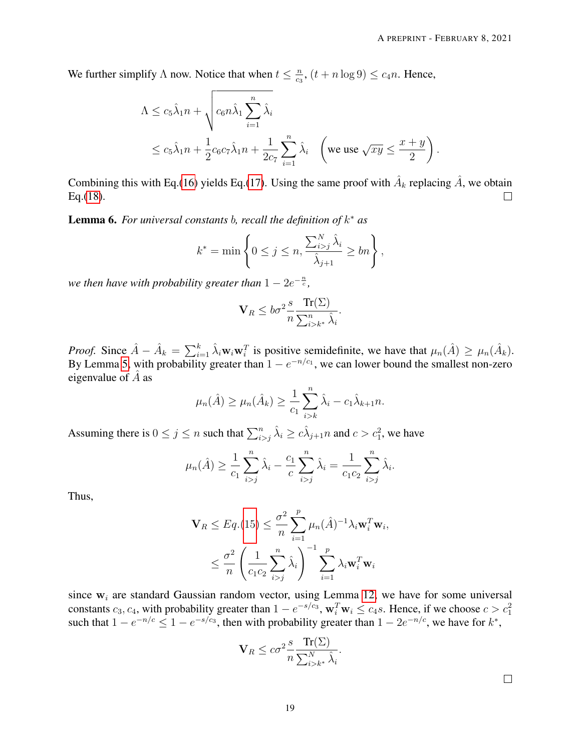We further simplify  $\Lambda$  now. Notice that when  $t \leq \frac{n}{c_0}$  $\frac{n}{c_3}$ ,  $(t + n \log 9) \leq c_4 n$ . Hence,

$$
\Lambda \leq c_5 \hat{\lambda}_1 n + \sqrt{c_6 n \hat{\lambda}_1 \sum_{i=1}^n \hat{\lambda}_i}
$$
  
 
$$
\leq c_5 \hat{\lambda}_1 n + \frac{1}{2} c_6 c_7 \hat{\lambda}_1 n + \frac{1}{2c_7} \sum_{i=1}^n \hat{\lambda}_i \quad \left(\text{we use } \sqrt{xy} \leq \frac{x+y}{2}\right).
$$

Combining this with Eq.[\(16\)](#page-17-0) yields Eq.[\(17\)](#page-17-1). Using the same proof with  $\hat{A}_k$  replacing  $\hat{A}$ , we obtain Eq.[\(18\)](#page-17-2).  $\Box$ 

<span id="page-18-0"></span>Lemma 6. *For universal constants* b*, recall the definition of* k <sup>∗</sup> *as*

$$
k^* = \min\left\{0 \le j \le n, \frac{\sum_{i>j}^N \hat{\lambda}_i}{\hat{\lambda}_{j+1}} \ge bn\right\},\,
$$

we then have with probability greater than  $1-2e^{-\frac{n}{c}},$ 

$$
\mathbf{V}_R \le b\sigma^2 \frac{s}{n} \frac{\text{Tr}(\Sigma)}{\sum_{i>k^*}^n \hat{\lambda}_i}.
$$

*Proof.* Since  $\hat{A} - \hat{A}_k = \sum_{i=1}^k \hat{\lambda}_i \mathbf{w}_i \mathbf{w}_i^T$  is positive semidefinite, we have that  $\mu_n(\hat{A}) \ge \mu_n(\hat{A}_k)$ . By Lemma [5,](#page-17-3) with probability greater than  $1 - e^{-n/c_1}$ , we can lower bound the smallest non-zero eigenvalue of  $\hat{A}$  as

$$
\mu_n(\hat{A}) \ge \mu_n(\hat{A}_k) \ge \frac{1}{c_1} \sum_{i>k}^n \hat{\lambda}_i - c_1 \hat{\lambda}_{k+1} n.
$$

Assuming there is  $0 \le j \le n$  such that  $\sum_{i>j}^n \hat{\lambda}_i \ge c\hat{\lambda}_{j+1}$  and  $c > c_1^2$ , we have

$$
\mu_n(\hat{A}) \ge \frac{1}{c_1} \sum_{i>j}^n \hat{\lambda}_i - \frac{c_1}{c} \sum_{i>j}^n \hat{\lambda}_i = \frac{1}{c_1 c_2} \sum_{i>j}^n \hat{\lambda}_i.
$$

Thus,

$$
\mathbf{V}_R \leq Eq. (15) \leq \frac{\sigma^2}{n} \sum_{i=1}^p \mu_n(\hat{A})^{-1} \lambda_i \mathbf{w}_i^T \mathbf{w}_i,
$$

$$
\leq \frac{\sigma^2}{n} \left( \frac{1}{c_1 c_2} \sum_{i>j}^n \hat{\lambda}_i \right)^{-1} \sum_{i=1}^p \lambda_i \mathbf{w}_i^T \mathbf{w}_i
$$

since  $w_i$  are standard Gaussian random vector, using Lemma [12,](#page-30-2) we have for some universal constants  $c_3, c_4$ , with probability greater than  $1 - e^{-s/c_3}$ ,  $\mathbf{w}_i^T \mathbf{w}_i \le c_4 s$ . Hence, if we choose  $c > c_1^2$ such that  $1 - e^{-n/c} \leq 1 - e^{-s/c_3}$ , then with probability greater than  $1 - 2e^{-n/c}$ , we have for  $k^*$ ,

$$
\mathbf{V}_R \leq c\sigma^2 \frac{s}{n} \frac{\text{Tr}(\Sigma)}{\sum_{i>k^*}^N \hat{\lambda}_i}.
$$

 $\Box$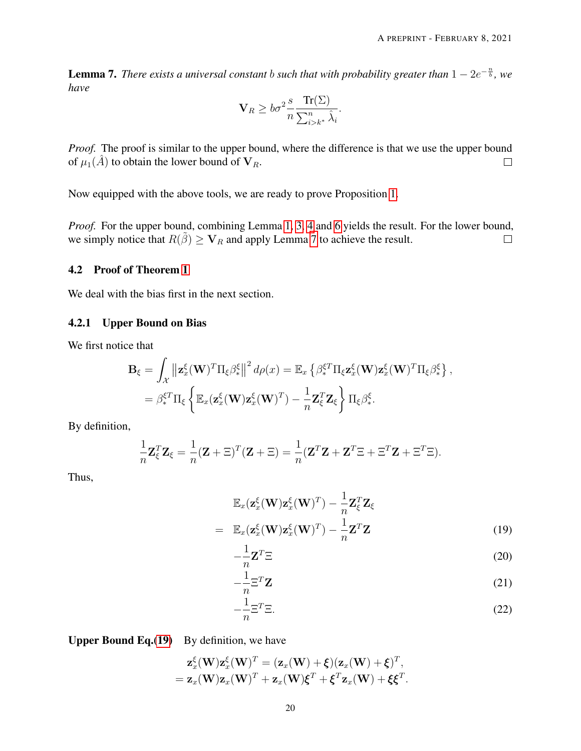<span id="page-19-1"></span>**Lemma 7.** There exists a universal constant b such that with probability greater than  $1 - 2e^{-\frac{n}{b}}$ , we *have*

$$
\mathbf{V}_R \ge b\sigma^2 \frac{s}{n} \frac{\text{Tr}(\Sigma)}{\sum_{i>k^*}^n \hat{\lambda}_i}.
$$

*Proof.* The proof is similar to the upper bound, where the difference is that we use the upper bound of  $\mu_1(\hat{A})$  to obtain the lower bound of  $V_R$ .  $\Box$ 

Now equipped with the above tools, we are ready to prove Proposition [1.](#page-9-0)

*Proof.* For the upper bound, combining Lemma [1,](#page-6-2) [3,](#page-14-1) [4](#page-14-2) and [6](#page-18-0) yields the result. For the lower bound, we simply notice that  $R(\tilde{\beta}) \geq V_R$  and apply Lemma [7](#page-19-1) to achieve the result.  $\Box$ 

# <span id="page-19-0"></span>4.2 Proof of Theorem [1](#page-8-0)

We deal with the bias first in the next section.

### 4.2.1 Upper Bound on Bias

We first notice that

$$
\mathbf{B}_{\xi} = \int_{\mathcal{X}} \left\| \mathbf{z}_{x}^{\xi}(\mathbf{W})^{T} \Pi_{\xi} \beta_{*}^{\xi} \right\|^{2} d\rho(x) = \mathbb{E}_{x} \left\{ \beta_{*}^{\xi T} \Pi_{\xi} \mathbf{z}_{x}^{\xi}(\mathbf{W}) \mathbf{z}_{x}^{\xi}(\mathbf{W})^{T} \Pi_{\xi} \beta_{*}^{\xi} \right\},
$$
  
=  $\beta_{*}^{\xi T} \Pi_{\xi} \left\{ \mathbb{E}_{x} (\mathbf{z}_{x}^{\xi}(\mathbf{W}) \mathbf{z}_{x}^{\xi}(\mathbf{W})^{T}) - \frac{1}{n} \mathbf{Z}_{\xi}^{T} \mathbf{Z}_{\xi} \right\} \Pi_{\xi} \beta_{*}^{\xi}.$ 

By definition,

$$
\frac{1}{n}\mathbf{Z}_{\xi}^{T}\mathbf{Z}_{\xi} = \frac{1}{n}(\mathbf{Z} + \Xi)^{T}(\mathbf{Z} + \Xi) = \frac{1}{n}(\mathbf{Z}^{T}\mathbf{Z} + \mathbf{Z}^{T}\Xi + \Xi^{T}\mathbf{Z} + \Xi^{T}\Xi).
$$

Thus,

<span id="page-19-2"></span>
$$
\mathbb{E}_x(\mathbf{z}_x^{\xi}(\mathbf{W})\mathbf{z}_x^{\xi}(\mathbf{W})^T) - \frac{1}{n}\mathbf{Z}_{\xi}^T \mathbf{Z}_{\xi}
$$
\n
$$
= \mathbb{E}_x(\mathbf{z}_x^{\xi}(\mathbf{W})\mathbf{z}_x^{\xi}(\mathbf{W})^T) - \frac{1}{n}\mathbf{Z}^T \mathbf{Z}
$$
\n(19)

$$
-\frac{1}{n}\mathbf{Z}^T\Xi
$$
 (20)

$$
-\frac{1}{n}\Xi^T \mathbf{Z} \tag{21}
$$

$$
-\frac{1}{n}\Xi^T\Xi.
$$
 (22)

Upper Bound Eq.[\(19\)](#page-19-2) By definition, we have

$$
\mathbf{z}_x^{\xi}(\mathbf{W})\mathbf{z}_x^{\xi}(\mathbf{W})^T = (\mathbf{z}_x(\mathbf{W}) + \xi)(\mathbf{z}_x(\mathbf{W}) + \xi)^T,
$$
  
=  $\mathbf{z}_x(\mathbf{W})\mathbf{z}_x(\mathbf{W})^T + \mathbf{z}_x(\mathbf{W})\xi^T + \xi^T\mathbf{z}_x(\mathbf{W}) + \xi\xi^T.$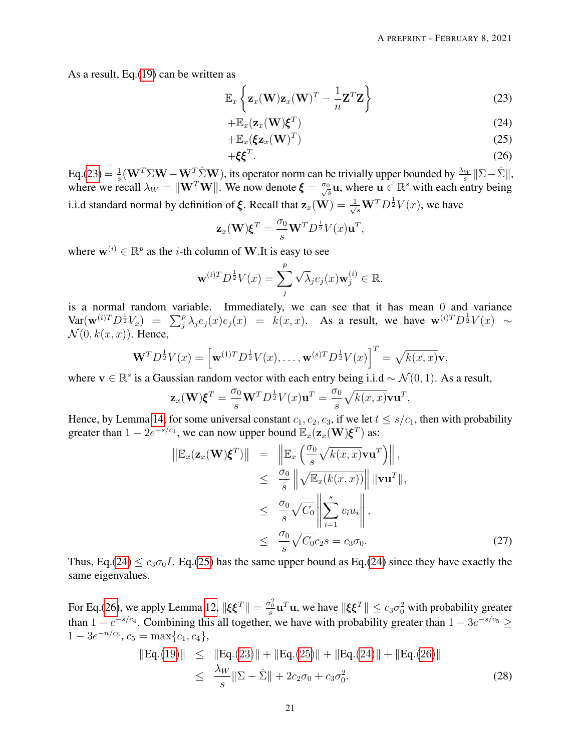As a result, Eq.[\(19\)](#page-19-2) can be written as

<span id="page-20-0"></span>
$$
\mathbb{E}_x\left\{\mathbf{z}_x(\mathbf{W})\mathbf{z}_x(\mathbf{W})^T - \frac{1}{n}\mathbf{Z}^T\mathbf{Z}\right\}
$$
 (23)

$$
+\mathbb{E}_x(\mathbf{z}_x(\mathbf{W})\boldsymbol{\xi}^T) \tag{24}
$$

$$
+\mathbb{E}_x(\xi \mathbf{z}_x(\mathbf{W})^T) \tag{25}
$$

$$
+\xi\xi^T.\tag{26}
$$

 $Eq.(23) = \frac{1}{s}$  $Eq.(23) = \frac{1}{s}$  $Eq.(23) = \frac{1}{s}$  $\frac{1}{s}$ (**W**<sup>T</sup> $\sum$ **W** − **W**<sup>T</sup> $\sum$ <sup>2</sup>W), its operator norm can be trivially upper bounded by  $\frac{\lambda_W}{s}$ || $\Sigma - \hat{\Sigma}$ ||, where we recall  $\lambda_W = ||\mathbf{W}^T \mathbf{W}||$ . We now denote  $\boldsymbol{\xi} = \frac{\sigma_0}{\sqrt{s}} \mathbf{u}$ , where  $\mathbf{u} \in \mathbb{R}^s$  with each entry being i.i.d standard normal by definition of  $\xi$ . Recall that  $\mathbf{z}_x(\mathbf{W}) = \frac{1}{\sqrt{s}} \mathbf{W}^T D^{\frac{1}{2}} V(x)$ , we have

$$
\mathbf{z}_x(\mathbf{W})\boldsymbol{\xi}^T = \frac{\sigma_0}{s}\mathbf{W}^T D^{\frac{1}{2}}V(x)\mathbf{u}^T,
$$

where  $\mathbf{w}^{(i)} \in \mathbb{R}^p$  as the *i*-th column of **W**. It is easy to see

$$
\mathbf{w}^{(i)T}D^{\frac{1}{2}}V(x) = \sum_{j}^{p} \sqrt{\lambda_j} e_j(x) \mathbf{w}_j^{(i)} \in \mathbb{R}.
$$

is a normal random variable. Immediately, we can see that it has mean 0 and variance  $\text{Var}(\mathbf{w}^{(i)T}D^{\frac{1}{2}}V_x) = \sum_j^p \lambda_j e_j(x) e_j(x) = k(x,x)$ . As a result, we have  $\mathbf{w}^{(i)T}D^{\frac{1}{2}}V(x) \sim$  $\mathcal{N}(0, k(x, x))$ . Hence,

$$
\mathbf{W}^T D^{\frac{1}{2}} V(x) = \left[ \mathbf{w}^{(1)T} D^{\frac{1}{2}} V(x), \dots, \mathbf{w}^{(s)T} D^{\frac{1}{2}} V(x) \right]^T = \sqrt{k(x,x)} \mathbf{v},
$$

where  $\mathbf{v} \in \mathbb{R}^s$  is a Gaussian random vector with each entry being i.i.d ~  $\mathcal{N}(0, 1)$ . As a result,

$$
\mathbf{z}_x(\mathbf{W})\boldsymbol{\xi}^T = \frac{\sigma_0}{s}\mathbf{W}^T D^{\frac{1}{2}}V(x)\mathbf{u}^T = \frac{\sigma_0}{s}\sqrt{k(x,x)}\mathbf{v}\mathbf{u}^T,
$$

Hence, by Lemma [14,](#page-31-0) for some universal constant  $c_1, c_2, c_3$ , if we let  $t \leq s/c_1$ , then with probability greater than  $1 - 2e^{-s/c_1}$ , we can now upper bound  $\mathbb{E}_x(\mathbf{z}_x(\mathbf{W})\boldsymbol{\xi}^T)$  as:

<span id="page-20-2"></span>
$$
\|\mathbb{E}_x(\mathbf{z}_x(\mathbf{W})\boldsymbol{\xi}^T)\| = \|\mathbb{E}_x\left(\frac{\sigma_0}{s}\sqrt{k(x,x)}\mathbf{v}\mathbf{u}^T\right)\|,
$$
  
\n
$$
\leq \frac{\sigma_0}{s}\|\sqrt{\mathbb{E}_x(k(x,x))}\| \|\mathbf{v}\mathbf{u}^T\|,
$$
  
\n
$$
\leq \frac{\sigma_0}{s}\sqrt{C_0}\left\|\sum_{i=1}^s v_i u_i\right\|,
$$
  
\n
$$
\leq \frac{\sigma_0}{s}\sqrt{C_0}c_2s = c_3\sigma_0.
$$
\n(27)

Thus, Eq.[\(24\)](#page-20-0)  $\leq c_3\sigma_0 I$ . Eq.[\(25\)](#page-20-0) has the same upper bound as Eq.(24) since they have exactly the same eigenvalues.

For Eq.[\(26\)](#page-20-0), we apply Lemma [12,](#page-30-2)  $\|\xi \xi^T\| = \frac{\sigma_0^2}{s}\mathbf{u}^T\mathbf{u}$ , we have  $\|\xi \xi^T\| \le c_3\sigma_0^2$  with probability greater than  $1 - e^{-s/c_4}$ . Combining this all together, we have with probability greater than  $1 - 3e^{-s/c_5} \ge$  $1 - 3e^{-n/c_5}, c_5 = \max\{c_1, c_4\},$ 

<span id="page-20-1"></span>
$$
||Eq.(19)|| \le ||Eq.(23)|| + ||Eq.(25)|| + ||Eq.(24)|| + ||Eq.(26)||
$$
  
\n
$$
\le \frac{\lambda_W}{s} ||\Sigma - \hat{\Sigma}|| + 2c_2\sigma_0 + c_3\sigma_0^2.
$$
\n(28)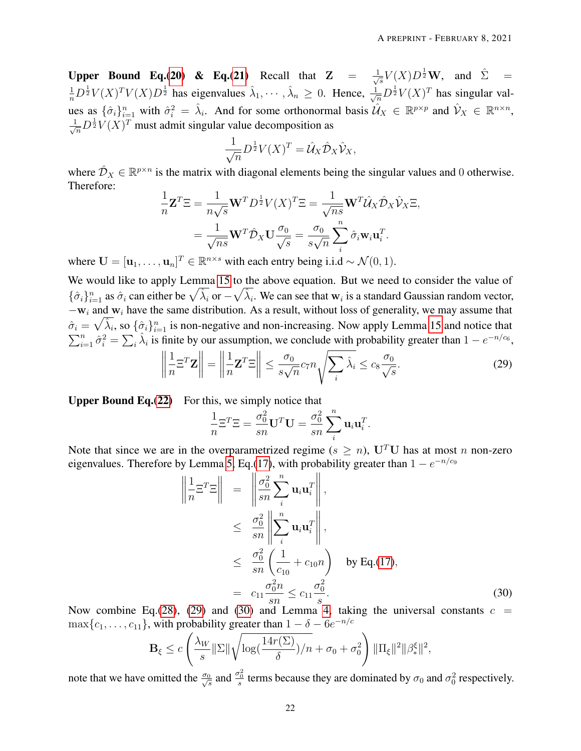Upper Bound Eq.[\(20\)](#page-19-2) & Eq.[\(21\)](#page-19-2) Recall that  $Z = \frac{1}{\sqrt{2}}$  $\frac{1}{s}V(X)D^{\frac{1}{2}}\mathbf{W}$ , and  $\hat{\Sigma}$  =  $\frac{1}{n}D^{\frac{1}{2}}V(X)^T V(X)D^{\frac{1}{2}}$  has eigenvalues  $\hat{\lambda}_1, \dots, \hat{\lambda}_n \geq 0$ . Hence,  $\frac{1}{\sqrt{n}}D^{\frac{1}{2}}V(X)^T$  has singular values as  $\{\hat{\sigma}_i\}_{i=1}^n$  with  $\hat{\sigma}_i^2 = \hat{\lambda}_i$ . And for some orthonormal basis  $\hat{\mathcal{U}}_X \in \mathbb{R}^{p \times p}$  and  $\hat{\mathcal{V}}_X \in \mathbb{R}^{n \times n}$ ,  $\frac{1}{\sqrt{n}}D^{\frac{1}{2}}V(X)^{T}$  must admit singular value decomposition as

$$
\frac{1}{\sqrt{n}}D^{\frac{1}{2}}V(X)^{T} = \hat{\mathcal{U}}_{X}\hat{\mathcal{D}}_{X}\hat{\mathcal{V}}_{X},
$$

where  $\hat{\mathcal{D}}_X \in \mathbb{R}^{p \times n}$  is the matrix with diagonal elements being the singular values and 0 otherwise. Therefore:

$$
\frac{1}{n}\mathbf{Z}^T \Xi = \frac{1}{n\sqrt{s}} \mathbf{W}^T D^{\frac{1}{2}} V(X)^T \Xi = \frac{1}{\sqrt{ns}} \mathbf{W}^T \hat{\mathcal{U}}_X \hat{\mathcal{D}}_X \hat{\mathcal{V}}_X \Xi,
$$

$$
= \frac{1}{\sqrt{ns}} \mathbf{W}^T \hat{\mathcal{D}}_X \mathbf{U} \frac{\sigma_0}{\sqrt{s}} = \frac{\sigma_0}{s\sqrt{n}} \sum_i^n \hat{\sigma}_i \mathbf{w}_i \mathbf{u}_i^T.
$$

where  $\mathbf{U} = [\mathbf{u}_1, \dots, \mathbf{u}_n]^T \in \mathbb{R}^{n \times s}$  with each entry being i.i.d  $\sim \mathcal{N}(0, 1)$ .

We would like to apply Lemma [15](#page-32-0) to the above equation. But we need to consider the value of  $\{\hat{\sigma}_i\}_{i=1}^n$  as  $\hat{\sigma}_i$  can either be  $\sqrt{\hat{\lambda}_i}$  or  $-\sqrt{\hat{\lambda}_i}$ . We can see that  $w_i$  is a standard Gaussian random vector,  $-w_i$  and w<sub>i</sub> have the same distribution. As a result, without loss of generality, we may assume that  $\hat{\sigma}_i = \sqrt{\hat{\lambda}_i}$ , so  $\{\hat{\sigma}_i\}_{i=1}^n$  is non-negative and non-increasing. Now apply Lemma [15](#page-32-0) and notice that  $\sum_{i=1}^n \hat{\sigma}_i^2 = \sum_i \hat{\lambda}_i$  is finite by our assumption, we conclude with probability greater than  $1 - e^{-n/c_6}$ ,

<span id="page-21-0"></span>
$$
\left\| \frac{1}{n} \Xi^T \mathbf{Z} \right\| = \left\| \frac{1}{n} \mathbf{Z}^T \Xi \right\| \le \frac{\sigma_0}{s \sqrt{n}} c_7 n \sqrt{\sum_i \hat{\lambda}_i} \le c_8 \frac{\sigma_0}{\sqrt{s}}.
$$
 (29)

**Upper Bound Eq.** $(22)$  For this, we simply notice that

$$
\frac{1}{n}\Xi^T\Xi = \frac{\sigma_0^2}{sn}\mathbf{U}^T\mathbf{U} = \frac{\sigma_0^2}{sn}\sum_i^n \mathbf{u}_i\mathbf{u}_i^T.
$$

Note that since we are in the overparametrized regime ( $s \geq n$ ), U<sup>T</sup>U has at most n non-zero eigenvalues. Therefore by Lemma [5,](#page-17-3) Eq.[\(17\)](#page-17-1), with probability greater than  $1 - e^{-n/c_9}$ 

<span id="page-21-1"></span>
$$
\left\| \frac{1}{n} \Xi^T \Xi \right\| = \left\| \frac{\sigma_0^2}{sn} \sum_i^n \mathbf{u}_i \mathbf{u}_i^T \right\|,
$$
  
\n
$$
\leq \frac{\sigma_0^2}{sn} \left\| \sum_i^n \mathbf{u}_i \mathbf{u}_i^T \right\|,
$$
  
\n
$$
\leq \frac{\sigma_0^2}{sn} \left( \frac{1}{c_{10}} + c_{10}n \right) \quad \text{by Eq.(17)},
$$
  
\n
$$
= c_{11} \frac{\sigma_0^2 n}{sn} \leq c_{11} \frac{\sigma_0^2}{s}.
$$
 (30)

Now combine Eq.[\(28\)](#page-20-1), [\(29\)](#page-21-0) and [\(30\)](#page-21-1) and Lemma [4,](#page-14-2) taking the universal constants  $c =$  $\max\{c_1, \ldots, c_{11}\}\$ , with probability greater than  $1 - \delta - 6e^{-n/c}$ 

$$
\mathbf{B}_{\xi} \le c \left( \frac{\lambda_W}{s} \|\Sigma\| \sqrt{\log(\frac{14r(\Sigma)}{\delta})/n} + \sigma_0 + \sigma_0^2 \right) \|\Pi_{\xi}\|^2 \|\beta_{*}^{\xi}\|^2,
$$

note that we have omitted the  $\frac{\sigma_0}{\sqrt{s}}$  and  $\frac{\sigma_0^2}{s}$  terms because they are dominated by  $\sigma_0$  and  $\sigma_0^2$  respectively.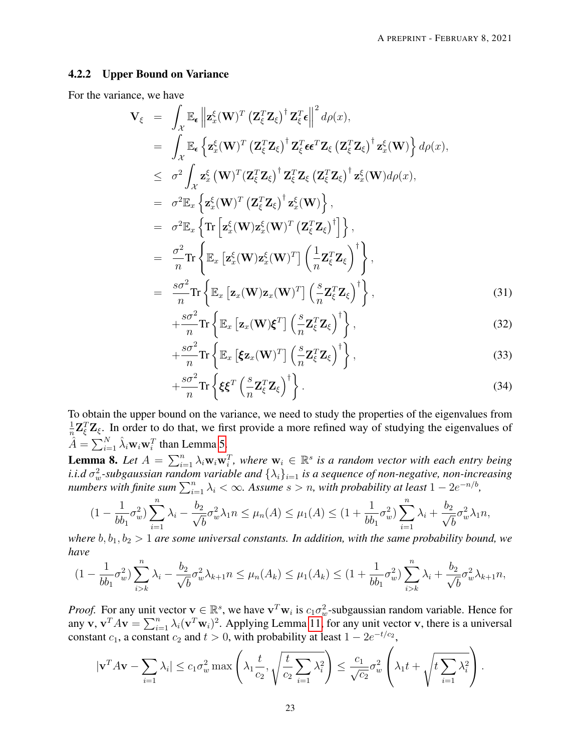# 4.2.2 Upper Bound on Variance

For the variance, we have

<span id="page-22-1"></span>
$$
\mathbf{V}_{\xi} = \int_{\mathcal{X}} \mathbb{E}_{\epsilon} \left\| \mathbf{z}_{x}^{\xi}(\mathbf{W})^{T} \left( \mathbf{Z}_{\xi}^{T} \mathbf{Z}_{\xi} \right)^{\dagger} \mathbf{Z}_{\xi}^{T} \epsilon \right\|^{2} d\rho(x),
$$
\n
$$
= \int_{\mathcal{X}} \mathbb{E}_{\epsilon} \left\{ \mathbf{z}_{x}^{\xi}(\mathbf{W})^{T} \left( \mathbf{Z}_{\xi}^{T} \mathbf{Z}_{\xi} \right)^{\dagger} \mathbf{Z}_{\xi}^{T} \epsilon \epsilon^{T} \mathbf{Z}_{\xi} \left( \mathbf{Z}_{\xi}^{T} \mathbf{Z}_{\xi} \right)^{\dagger} \mathbf{z}_{x}^{\xi}(\mathbf{W}) \right\} d\rho(x),
$$
\n
$$
\leq \sigma^{2} \int_{\mathcal{X}} \mathbf{z}_{x}^{\xi}(\mathbf{W})^{T} \left( \mathbf{Z}_{\xi}^{T} \mathbf{Z}_{\xi} \right)^{\dagger} \mathbf{Z}_{\xi}^{T} \mathbf{Z}_{\xi} \left( \mathbf{Z}_{\xi}^{T} \mathbf{Z}_{\xi} \right)^{\dagger} \mathbf{z}_{x}^{\xi}(\mathbf{W}) d\rho(x),
$$
\n
$$
= \sigma^{2} \mathbb{E}_{x} \left\{ \mathbf{z}_{x}^{\xi}(\mathbf{W})^{T} \left( \mathbf{Z}_{\xi}^{T} \mathbf{Z}_{\xi} \right)^{\dagger} \mathbf{z}_{x}^{\xi}(\mathbf{W}) \right\},
$$
\n
$$
= \sigma^{2} \mathbb{E}_{x} \left\{ \text{Tr} \left[ \mathbf{z}_{x}^{\xi}(\mathbf{W}) \mathbf{z}_{x}^{\xi}(\mathbf{W})^{T} \left( \mathbf{Z}_{\xi}^{T} \mathbf{Z}_{\xi} \right)^{\dagger} \right\},
$$
\n
$$
= \frac{\sigma^{2}}{n} \text{Tr} \left\{ \mathbb{E}_{x} \left[ \mathbf{z}_{x}^{\xi}(\mathbf{W}) \mathbf{z}_{x}(\mathbf{W})^{T} \right] \left( \frac{1}{n} \mathbf{Z}_{\xi}^{T} \mathbf{Z}_{\xi} \right)^{\
$$

$$
+\frac{s\sigma^2}{n}\mathrm{Tr}\left\{\mathbb{E}_x\left[\mathbf{z}_x(\mathbf{W})\boldsymbol{\xi}^T\right]\left(\frac{s}{n}\mathbf{Z}_{\xi}^T\mathbf{Z}_{\xi}\right)^{\dagger}\right\},\tag{32}
$$

$$
+\frac{s\sigma^2}{n}\mathrm{Tr}\left\{\mathbb{E}_x\left[\xi\mathbf{z}_x(\mathbf{W})^T\right]\left(\frac{s}{n}\mathbf{Z}_{\xi}^T\mathbf{Z}_{\xi}\right)^{\dagger}\right\},\tag{33}
$$

$$
+\frac{s\sigma^2}{n}\mathrm{Tr}\left\{\xi\xi^T\left(\frac{s}{n}\mathbf{Z}_{\xi}^T\mathbf{Z}_{\xi}\right)^{\dagger}\right\}.
$$
\n(34)

To obtain the upper bound on the variance, we need to study the properties of the eigenvalues from 1  $\frac{1}{n}Z_{\xi}^{T}Z_{\xi}$ . In order to do that, we first provide a more refined way of studying the eigenvalues of  $\hat{A} = \sum_{i=1}^{N} \hat{\lambda}_i \mathbf{w}_i \mathbf{w}_i^T$  than Lemma [5.](#page-17-3)

<span id="page-22-0"></span>**Lemma 8.** Let  $A = \sum_{i=1}^{n} \lambda_i w_i w_i^T$ , where  $w_i \in \mathbb{R}^s$  is a random vector with each entry being  $i.i.d\ \sigma_w^2$ -subgaussian random variable and  $\{\lambda_i\}_{i=1}$  is a sequence of non-negative, non-increasing *numbers with finite sum*  $\sum_{i=1}^{n} \lambda_i < \infty$ . Assume  $s > n$ , with probability at least  $1 - 2e^{-n/b}$ ,

$$
(1 - \frac{1}{bb_1} \sigma_w^2) \sum_{i=1}^n \lambda_i - \frac{b_2}{\sqrt{b}} \sigma_w^2 \lambda_1 n \le \mu_n(A) \le \mu_1(A) \le (1 + \frac{1}{bb_1} \sigma_w^2) \sum_{i=1}^n \lambda_i + \frac{b_2}{\sqrt{b}} \sigma_w^2 \lambda_1 n,
$$

*where*  $b, b_1, b_2 > 1$  *are some universal constants. In addition, with the same probability bound, we have*

$$
(1 - \frac{1}{bb_1} \sigma_w^2) \sum_{i > k}^n \lambda_i - \frac{b_2}{\sqrt{b}} \sigma_w^2 \lambda_{k+1} n \le \mu_n(A_k) \le \mu_1(A_k) \le (1 + \frac{1}{bb_1} \sigma_w^2) \sum_{i > k}^n \lambda_i + \frac{b_2}{\sqrt{b}} \sigma_w^2 \lambda_{k+1} n,
$$

*Proof.* For any unit vector  $v \in \mathbb{R}^s$ , we have  $v^T w_i$  is  $c_1 \sigma_w^2$ -subgaussian random variable. Hence for any v,  $\mathbf{v}^T A \mathbf{v} = \sum_{i=1}^n \lambda_i (\mathbf{v}^T \mathbf{w}_i)^2$ . Applying Lemma [11,](#page-30-0) for any unit vector v, there is a universal constant  $c_1$ , a constant  $c_2$  and  $t > 0$ , with probability at least  $1 - 2e^{-t/c_2}$ ,

$$
|\mathbf{v}^T A \mathbf{v} - \sum_{i=1} \lambda_i| \le c_1 \sigma_w^2 \max\left(\lambda_1 \frac{t}{c_2}, \sqrt{\frac{t}{c_2} \sum_{i=1} \lambda_i^2}\right) \le \frac{c_1}{\sqrt{c_2}} \sigma_w^2 \left(\lambda_1 t + \sqrt{t \sum_{i=1} \lambda_i^2}\right).
$$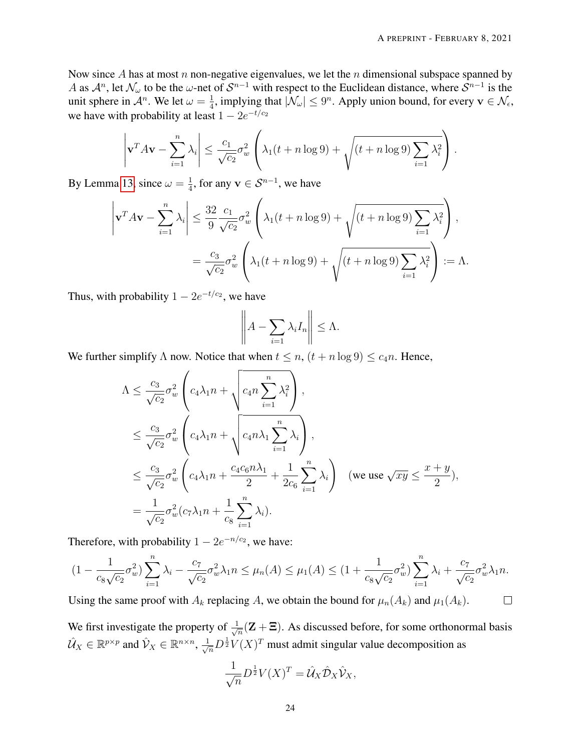Now since A has at most n non-negative eigenvalues, we let the n dimensional subspace spanned by A as  $\mathcal{A}^n$ , let  $\mathcal{N}_\omega$  to be the  $\omega$ -net of  $\mathcal{S}^{n-1}$  with respect to the Euclidean distance, where  $\mathcal{S}^{n-1}$  is the unit sphere in  $\mathcal{A}^n$ . We let  $\omega = \frac{1}{4}$  $\frac{1}{4}$ , implying that  $|\mathcal{N}_{\omega}| \leq 9^n$ . Apply union bound, for every  $\mathbf{v} \in \mathcal{N}_{\epsilon}$ , we have with probability at least  $1 - 2e^{-t/c_2}$ 

$$
\left|\mathbf{v}^T A \mathbf{v} - \sum_{i=1}^n \lambda_i\right| \le \frac{c_1}{\sqrt{c_2}} \sigma_w^2 \left(\lambda_1 (t + n \log 9) + \sqrt{(t + n \log 9) \sum_{i=1}^n \lambda_i^2}\right).
$$

By Lemma [13,](#page-30-1) since  $\omega = \frac{1}{4}$  $\frac{1}{4}$ , for any  $\mathbf{v} \in \mathcal{S}^{n-1}$ , we have

$$
\left|\mathbf{v}^T A \mathbf{v} - \sum_{i=1}^n \lambda_i\right| \le \frac{32}{9} \frac{c_1}{\sqrt{c_2}} \sigma_w^2 \left(\lambda_1 (t + n \log 9) + \sqrt{\left(t + n \log 9\right) \sum_{i=1}^n \lambda_i^2}\right),
$$
  
=  $\frac{c_3}{\sqrt{c_2}} \sigma_w^2 \left(\lambda_1 (t + n \log 9) + \sqrt{\left(t + n \log 9\right) \sum_{i=1}^n \lambda_i^2}\right) := \Lambda.$ 

Thus, with probability  $1 - 2e^{-t/c_2}$ , we have

$$
\left\| A - \sum_{i=1} \lambda_i I_n \right\| \leq \Lambda.
$$

We further simplify  $\Lambda$  now. Notice that when  $t \leq n$ ,  $(t + n \log 9) \leq c_4 n$ . Hence,

$$
\begin{split}\n\Lambda &\leq \frac{c_3}{\sqrt{c_2}} \sigma_w^2 \left( c_4 \lambda_1 n + \sqrt{c_4 n \sum_{i=1}^n \lambda_i^2} \right), \\
&\leq \frac{c_3}{\sqrt{c_2}} \sigma_w^2 \left( c_4 \lambda_1 n + \sqrt{c_4 n \lambda_1 \sum_{i=1}^n \lambda_i} \right), \\
&\leq \frac{c_3}{\sqrt{c_2}} \sigma_w^2 \left( c_4 \lambda_1 n + \frac{c_4 c_6 n \lambda_1}{2} + \frac{1}{2c_6} \sum_{i=1}^n \lambda_i \right) \quad (\text{we use } \sqrt{xy} \leq \frac{x+y}{2}), \\
&= \frac{1}{\sqrt{c_2}} \sigma_w^2 (c_7 \lambda_1 n + \frac{1}{c_8} \sum_{i=1}^n \lambda_i).\n\end{split}
$$

Therefore, with probability  $1 - 2e^{-n/c_2}$ , we have:

$$
(1 - \frac{1}{c_8\sqrt{c_2}}\sigma_w^2) \sum_{i=1}^n \lambda_i - \frac{c_7}{\sqrt{c_2}}\sigma_w^2 \lambda_1 n \le \mu_n(A) \le \mu_1(A) \le (1 + \frac{1}{c_8\sqrt{c_2}}\sigma_w^2) \sum_{i=1}^n \lambda_i + \frac{c_7}{\sqrt{c_2}}\sigma_w^2 \lambda_1 n.
$$

Using the same proof with  $A_k$  replacing A, we obtain the bound for  $\mu_n(A_k)$  and  $\mu_1(A_k)$ .

We first investigate the property of  $\frac{1}{\sqrt{2}}$  $\frac{1}{n}(\mathbf{Z} + \mathbf{\Xi})$ . As discussed before, for some orthonormal basis  $\hat{U}_X \in \mathbb{R}^{p \times p}$  and  $\hat{V}_X \in \mathbb{R}^{n \times n}$ ,  $\frac{1}{\sqrt{n}} D^{\frac{1}{2}} V(X)^T$  must admit singular value decomposition as

$$
\frac{1}{\sqrt{n}}D^{\frac{1}{2}}V(X)^{T} = \hat{\mathcal{U}}_{X}\hat{\mathcal{D}}_{X}\hat{\mathcal{V}}_{X},
$$

 $\Box$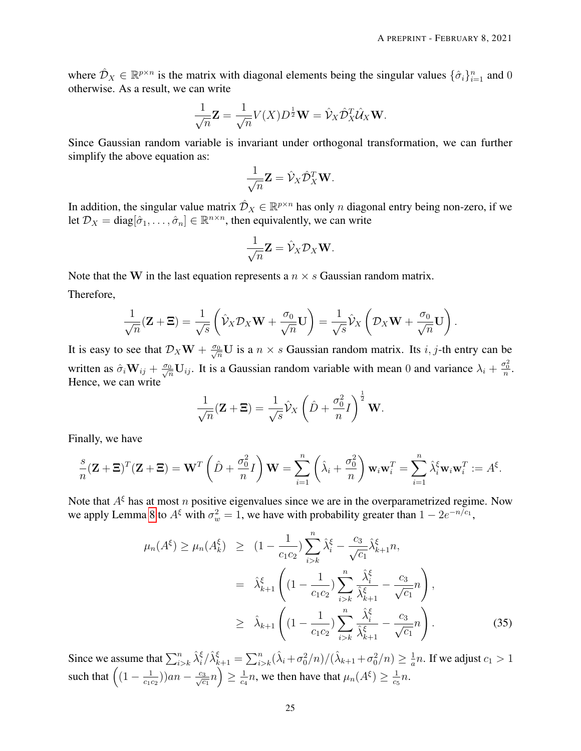where  $\hat{\mathcal{D}}_X \in \mathbb{R}^{p \times n}$  is the matrix with diagonal elements being the singular values  $\{\hat{\sigma}_i\}_{i=1}^n$  and 0 otherwise. As a result, we can write

$$
\frac{1}{\sqrt{n}}\mathbf{Z} = \frac{1}{\sqrt{n}}V(X)D^{\frac{1}{2}}\mathbf{W} = \hat{\mathcal{V}}_X\hat{\mathcal{D}}_X^T\hat{\mathcal{U}}_X\mathbf{W}.
$$

Since Gaussian random variable is invariant under orthogonal transformation, we can further simplify the above equation as:

$$
\frac{1}{\sqrt{n}}\mathbf{Z} = \hat{\mathcal{V}}_X \hat{\mathcal{D}}_X^T \mathbf{W}.
$$

In addition, the singular value matrix  $\hat{\mathcal{D}}_X \in \mathbb{R}^{p \times n}$  has only n diagonal entry being non-zero, if we let  $\mathcal{D}_X = \text{diag}[\hat{\sigma}_1, \dots, \hat{\sigma}_n] \in \mathbb{R}^{n \times n}$ , then equivalently, we can write

$$
\frac{1}{\sqrt{n}}\mathbf{Z} = \hat{\mathcal{V}}_X \mathcal{D}_X \mathbf{W}.
$$

Note that the W in the last equation represents a  $n \times s$  Gaussian random matrix. Therefore,

$$
\frac{1}{\sqrt{n}}(\mathbf{Z}+\Xi)=\frac{1}{\sqrt{s}}\left(\hat{\mathcal{V}}_X\mathcal{D}_X\mathbf{W}+\frac{\sigma_0}{\sqrt{n}}\mathbf{U}\right)=\frac{1}{\sqrt{s}}\hat{\mathcal{V}}_X\left(\mathcal{D}_X\mathbf{W}+\frac{\sigma_0}{\sqrt{n}}\mathbf{U}\right).
$$

It is easy to see that  $\mathcal{D}_X \mathbf{W} + \frac{\sigma_0}{\sqrt{n}} \mathbf{U}$  is a  $n \times s$  Gaussian random matrix. Its *i*, *j*-th entry can be written as  $\hat{\sigma}_i \mathbf{W}_{ij} + \frac{\sigma_0}{\sqrt{n}} \mathbf{U}_{ij}$ . It is a Gaussian random variable with mean 0 and variance  $\lambda_i + \frac{\sigma_0^2}{n}$ . Hence, we can write

$$
\frac{1}{\sqrt{n}}(\mathbf{Z} + \mathbf{\Xi}) = \frac{1}{\sqrt{s}}\hat{\mathcal{V}}_X \left(\hat{D} + \frac{\sigma_0^2}{n}I\right)^{\frac{1}{2}} \mathbf{W}.
$$

Finally, we have

$$
\frac{s}{n}(\mathbf{Z} + \mathbf{\Xi})^T(\mathbf{Z} + \mathbf{\Xi}) = \mathbf{W}^T\left(\hat{D} + \frac{\sigma_0^2}{n}I\right)\mathbf{W} = \sum_{i=1}^n \left(\hat{\lambda}_i + \frac{\sigma_0^2}{n}\right)\mathbf{w}_i\mathbf{w}_i^T = \sum_{i=1}^n \hat{\lambda}_i^{\xi}\mathbf{w}_i\mathbf{w}_i^T := A^{\xi}.
$$

Note that  $A^{\xi}$  has at most n positive eigenvalues since we are in the overparametrized regime. Now we apply Lemma [8](#page-22-0) to  $A^{\xi}$  with  $\sigma_w^2 = 1$ , we have with probability greater than  $1 - 2e^{-n/c_1}$ ,

$$
\mu_n(A^{\xi}) \ge \mu_n(A^{\xi}_k) \ge (1 - \frac{1}{c_1 c_2}) \sum_{i > k}^n \hat{\lambda}_i^{\xi} - \frac{c_3}{\sqrt{c_1}} \hat{\lambda}_{k+1}^{\xi} n,
$$
  
\n
$$
= \hat{\lambda}_{k+1}^{\xi} \left( (1 - \frac{1}{c_1 c_2}) \sum_{i > k}^n \frac{\hat{\lambda}_i^{\xi}}{\hat{\lambda}_{k+1}^{\xi}} - \frac{c_3}{\sqrt{c_1}} n \right),
$$
  
\n
$$
\ge \hat{\lambda}_{k+1} \left( (1 - \frac{1}{c_1 c_2}) \sum_{i > k}^n \frac{\hat{\lambda}_i^{\xi}}{\hat{\lambda}_{k+1}^{\xi}} - \frac{c_3}{\sqrt{c_1}} n \right).
$$
 (35)

Since we assume that  $\sum_{i>k}^n \hat{\lambda}_i^{\xi}/\hat{\lambda}_{k+1}^{\xi} = \sum_{i>k}^n (\hat{\lambda}_i + \sigma_0^2/n)/(\hat{\lambda}_{k+1} + \sigma_0^2/n) \ge \frac{1}{a}$  $\frac{1}{a}n$ . If we adjust  $c_1 > 1$ such that  $\left(1 - \frac{1}{c_1}\right)$  $\frac{1}{c_1c_2})$ ) $an - \frac{c_3}{\sqrt{c}}$  $\frac{3}{c_1}n \Big) \geq \frac{1}{c_4}$  $\frac{1}{c_4}n$ , we then have that  $\mu_n(A^{\xi}) \geq \frac{1}{c_5}$  $\frac{1}{c_5}n$ .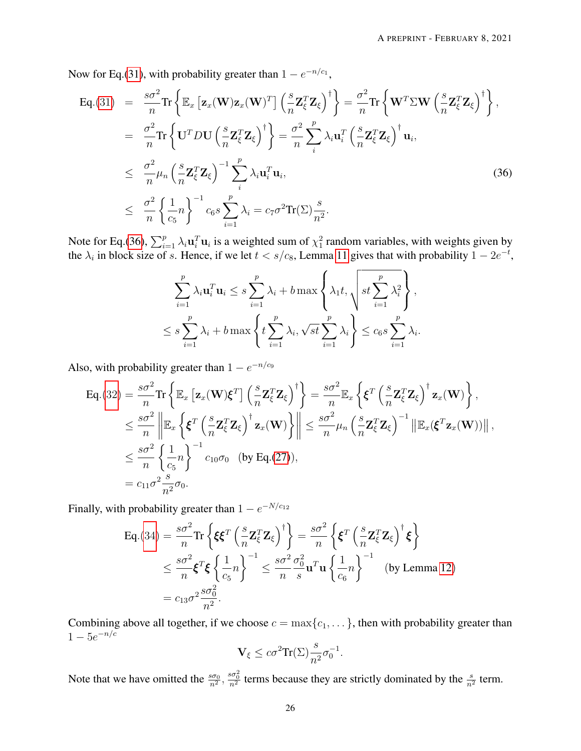Now for Eq.[\(31\)](#page-22-1), with probability greater than  $1 - e^{-n/c_1}$ ,

<span id="page-25-0"></span>
$$
\begin{split}\n\text{Eq.}(31) &= \frac{s\sigma^2}{n} \text{Tr} \left\{ \mathbb{E}_x \left[ \mathbf{z}_x (\mathbf{W}) \mathbf{z}_x (\mathbf{W})^T \right] \left( \frac{s}{n} \mathbf{Z}_{\xi}^T \mathbf{Z}_{\xi} \right)^{\dagger} \right\} = \frac{\sigma^2}{n} \text{Tr} \left\{ \mathbf{W}^T \Sigma \mathbf{W} \left( \frac{s}{n} \mathbf{Z}_{\xi}^T \mathbf{Z}_{\xi} \right)^{\dagger} \right\}, \\
&= \frac{\sigma^2}{n} \text{Tr} \left\{ \mathbf{U}^T D \mathbf{U} \left( \frac{s}{n} \mathbf{Z}_{\xi}^T \mathbf{Z}_{\xi} \right)^{\dagger} \right\} = \frac{\sigma^2}{n} \sum_{i}^{p} \lambda_i \mathbf{u}_i^T \left( \frac{s}{n} \mathbf{Z}_{\xi}^T \mathbf{Z}_{\xi} \right)^{\dagger} \mathbf{u}_i, \\
&\leq \frac{\sigma^2}{n} \mu_n \left( \frac{s}{n} \mathbf{Z}_{\xi}^T \mathbf{Z}_{\xi} \right)^{-1} \sum_{i}^{p} \lambda_i \mathbf{u}_i^T \mathbf{u}_i, \\
&\leq \frac{\sigma^2}{n} \left\{ \frac{1}{c_5} n \right\}^{-1} c_6 s \sum_{i=1}^{p} \lambda_i = c_7 \sigma^2 \text{Tr}(\Sigma) \frac{s}{n^2}.\n\end{split} \tag{36}
$$

Note for Eq.[\(36\)](#page-25-0),  $\sum_{i=1}^p \lambda_i \mathbf{u}_i^T \mathbf{u}_i$  is a weighted sum of  $\chi^2$  random variables, with weights given by the  $\lambda_i$  in block size of s. Hence, if we let  $t < s/c_8$ , Lemma [11](#page-30-0) gives that with probability  $1 - 2e^{-t}$ ,

$$
\sum_{i=1}^{p} \lambda_i \mathbf{u}_i^T \mathbf{u}_i \leq s \sum_{i=1}^{p} \lambda_i + b \max \left\{ \lambda_1 t, \sqrt{st \sum_{i=1}^{p} \lambda_i^2} \right\},
$$
  

$$
\leq s \sum_{i=1}^{p} \lambda_i + b \max \left\{ t \sum_{i=1}^{p} \lambda_i, \sqrt{st} \sum_{i=1}^{p} \lambda_i \right\} \leq c_6 s \sum_{i=1}^{p} \lambda_i.
$$

Also, with probability greater than  $1 - e^{-n/c_9}$ 

$$
\begin{split} \mathsf{Eq}.(32) &= \frac{s\sigma^2}{n} \mathrm{Tr} \left\{ \mathbb{E}_x \left[ \mathbf{z}_x(\mathbf{W}) \boldsymbol{\xi}^T \right] \left( \frac{s}{n} \mathbf{Z}_{\xi}^T \mathbf{Z}_{\xi} \right)^{\dagger} \right\} = \frac{s\sigma^2}{n} \mathbb{E}_x \left\{ \boldsymbol{\xi}^T \left( \frac{s}{n} \mathbf{Z}_{\xi}^T \mathbf{Z}_{\xi} \right)^{\dagger} \mathbf{z}_x(\mathbf{W}) \right\}, \\ &\leq \frac{s\sigma^2}{n} \left\| \mathbb{E}_x \left\{ \boldsymbol{\xi}^T \left( \frac{s}{n} \mathbf{Z}_{\xi}^T \mathbf{Z}_{\xi} \right)^{\dagger} \mathbf{z}_x(\mathbf{W}) \right\} \right\| \leq \frac{s\sigma^2}{n} \mu_n \left( \frac{s}{n} \mathbf{Z}_{\xi}^T \mathbf{Z}_{\xi} \right)^{-1} \left\| \mathbb{E}_x(\boldsymbol{\xi}^T \mathbf{z}_x(\mathbf{W})) \right\|, \\ &\leq \frac{s\sigma^2}{n} \left\{ \frac{1}{c_5} n \right\}^{-1} c_{10} \sigma_0 \quad \text{(by Eq.(27))}, \\ &= c_{11} \sigma^2 \frac{s}{n^2} \sigma_0. \end{split}
$$

Finally, with probability greater than  $1 - e^{-N/c_{12}}$ 

$$
\begin{split} \text{Eq.}(34) &= \frac{s\sigma^2}{n} \text{Tr} \left\{ \xi \xi^T \left( \frac{s}{n} \mathbf{Z}_{\xi}^T \mathbf{Z}_{\xi} \right)^{\dagger} \right\} = \frac{s\sigma^2}{n} \left\{ \xi^T \left( \frac{s}{n} \mathbf{Z}_{\xi}^T \mathbf{Z}_{\xi} \right)^{\dagger} \xi \right\} \\ &\leq \frac{s\sigma^2}{n} \xi^T \xi \left\{ \frac{1}{c_5} n \right\}^{-1} \leq \frac{s\sigma^2}{n} \frac{\sigma_0^2}{s} \mathbf{u}^T \mathbf{u} \left\{ \frac{1}{c_6} n \right\}^{-1} \quad \text{(by Lemma 12)} \\ &= c_{13} \sigma^2 \frac{s\sigma_0^2}{n^2}. \end{split}
$$

Combining above all together, if we choose  $c = \max\{c_1, \dots\}$ , then with probability greater than  $1 - 5e^{-n/c}$ 

$$
\mathbf{V}_{\xi} \leq c \sigma^2 \mathrm{Tr}(\Sigma) \frac{s}{n^2} \sigma_0^{-1}.
$$

Note that we have omitted the  $\frac{s\sigma_0}{n^2}$ ,  $\frac{s\sigma_0^2}{n^2}$  terms because they are strictly dominated by the  $\frac{s}{n^2}$  term.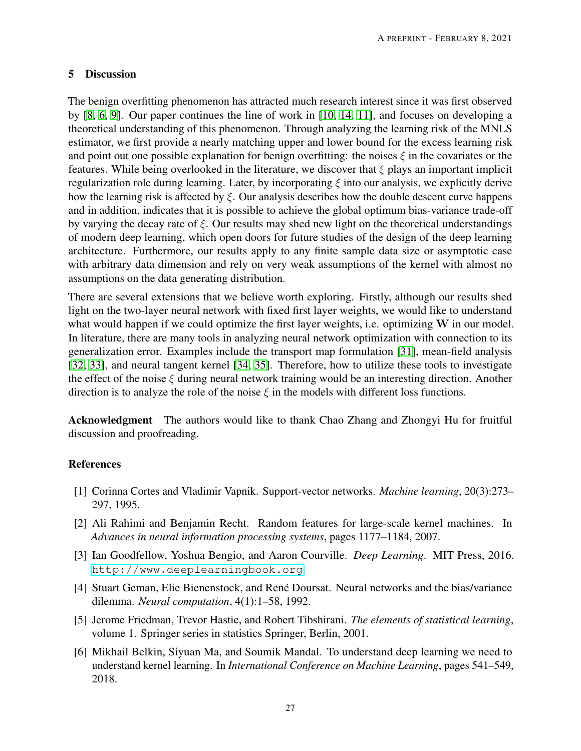# 5 Discussion

The benign overfitting phenomenon has attracted much research interest since it was first observed by [\[8,](#page-27-1) [6,](#page-26-5) [9\]](#page-27-2). Our paper continues the line of work in [\[10,](#page-27-3) [14,](#page-27-7) [11\]](#page-27-4), and focuses on developing a theoretical understanding of this phenomenon. Through analyzing the learning risk of the MNLS estimator, we first provide a nearly matching upper and lower bound for the excess learning risk and point out one possible explanation for benign overfitting: the noises  $\xi$  in the covariates or the features. While being overlooked in the literature, we discover that  $\xi$  plays an important implicit regularization role during learning. Later, by incorporating  $\xi$  into our analysis, we explicitly derive how the learning risk is affected by  $\xi$ . Our analysis describes how the double descent curve happens and in addition, indicates that it is possible to achieve the global optimum bias-variance trade-off by varying the decay rate of  $\xi$ . Our results may shed new light on the theoretical understandings of modern deep learning, which open doors for future studies of the design of the deep learning architecture. Furthermore, our results apply to any finite sample data size or asymptotic case with arbitrary data dimension and rely on very weak assumptions of the kernel with almost no assumptions on the data generating distribution.

There are several extensions that we believe worth exploring. Firstly, although our results shed light on the two-layer neural network with fixed first layer weights, we would like to understand what would happen if we could optimize the first layer weights, i.e. optimizing W in our model. In literature, there are many tools in analyzing neural network optimization with connection to its generalization error. Examples include the transport map formulation [\[31\]](#page-28-8), mean-field analysis [\[32,](#page-28-9) [33\]](#page-28-10), and neural tangent kernel [\[34,](#page-28-11) [35\]](#page-28-12). Therefore, how to utilize these tools to investigate the effect of the noise  $\xi$  during neural network training would be an interesting direction. Another direction is to analyze the role of the noise  $\xi$  in the models with different loss functions.

Acknowledgment The authors would like to thank Chao Zhang and Zhongyi Hu for fruitful discussion and proofreading.

# References

- <span id="page-26-0"></span>[1] Corinna Cortes and Vladimir Vapnik. Support-vector networks. *Machine learning*, 20(3):273– 297, 1995.
- <span id="page-26-1"></span>[2] Ali Rahimi and Benjamin Recht. Random features for large-scale kernel machines. In *Advances in neural information processing systems*, pages 1177–1184, 2007.
- <span id="page-26-2"></span>[3] Ian Goodfellow, Yoshua Bengio, and Aaron Courville. *Deep Learning*. MIT Press, 2016. <http://www.deeplearningbook.org>.
- <span id="page-26-3"></span>[4] Stuart Geman, Elie Bienenstock, and René Doursat. Neural networks and the bias/variance dilemma. *Neural computation*, 4(1):1–58, 1992.
- <span id="page-26-4"></span>[5] Jerome Friedman, Trevor Hastie, and Robert Tibshirani. *The elements of statistical learning*, volume 1. Springer series in statistics Springer, Berlin, 2001.
- <span id="page-26-5"></span>[6] Mikhail Belkin, Siyuan Ma, and Soumik Mandal. To understand deep learning we need to understand kernel learning. In *International Conference on Machine Learning*, pages 541–549, 2018.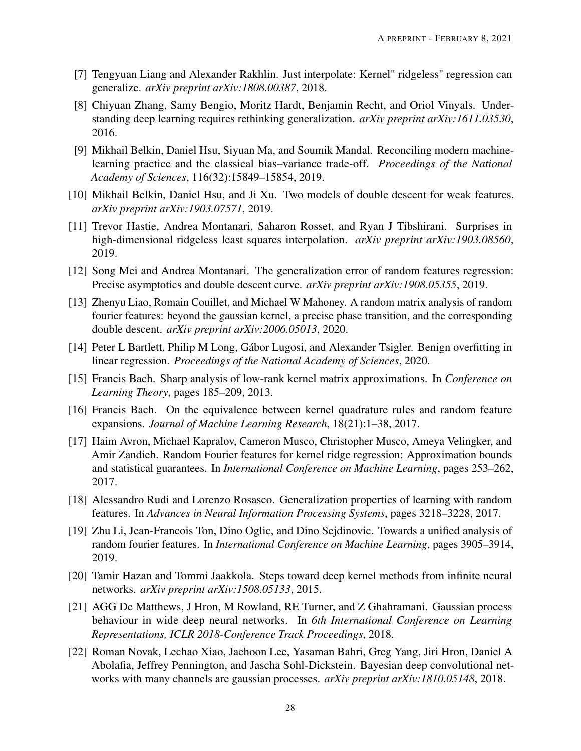- <span id="page-27-0"></span>[7] Tengyuan Liang and Alexander Rakhlin. Just interpolate: Kernel" ridgeless" regression can generalize. *arXiv preprint arXiv:1808.00387*, 2018.
- <span id="page-27-1"></span>[8] Chiyuan Zhang, Samy Bengio, Moritz Hardt, Benjamin Recht, and Oriol Vinyals. Understanding deep learning requires rethinking generalization. *arXiv preprint arXiv:1611.03530*, 2016.
- <span id="page-27-2"></span>[9] Mikhail Belkin, Daniel Hsu, Siyuan Ma, and Soumik Mandal. Reconciling modern machinelearning practice and the classical bias–variance trade-off. *Proceedings of the National Academy of Sciences*, 116(32):15849–15854, 2019.
- <span id="page-27-3"></span>[10] Mikhail Belkin, Daniel Hsu, and Ji Xu. Two models of double descent for weak features. *arXiv preprint arXiv:1903.07571*, 2019.
- <span id="page-27-4"></span>[11] Trevor Hastie, Andrea Montanari, Saharon Rosset, and Ryan J Tibshirani. Surprises in high-dimensional ridgeless least squares interpolation. *arXiv preprint arXiv:1903.08560*, 2019.
- <span id="page-27-5"></span>[12] Song Mei and Andrea Montanari. The generalization error of random features regression: Precise asymptotics and double descent curve. *arXiv preprint arXiv:1908.05355*, 2019.
- <span id="page-27-6"></span>[13] Zhenyu Liao, Romain Couillet, and Michael W Mahoney. A random matrix analysis of random fourier features: beyond the gaussian kernel, a precise phase transition, and the corresponding double descent. *arXiv preprint arXiv:2006.05013*, 2020.
- <span id="page-27-7"></span>[14] Peter L Bartlett, Philip M Long, Gábor Lugosi, and Alexander Tsigler. Benign overfitting in linear regression. *Proceedings of the National Academy of Sciences*, 2020.
- <span id="page-27-8"></span>[15] Francis Bach. Sharp analysis of low-rank kernel matrix approximations. In *Conference on Learning Theory*, pages 185–209, 2013.
- <span id="page-27-9"></span>[16] Francis Bach. On the equivalence between kernel quadrature rules and random feature expansions. *Journal of Machine Learning Research*, 18(21):1–38, 2017.
- <span id="page-27-10"></span>[17] Haim Avron, Michael Kapralov, Cameron Musco, Christopher Musco, Ameya Velingker, and Amir Zandieh. Random Fourier features for kernel ridge regression: Approximation bounds and statistical guarantees. In *International Conference on Machine Learning*, pages 253–262, 2017.
- <span id="page-27-11"></span>[18] Alessandro Rudi and Lorenzo Rosasco. Generalization properties of learning with random features. In *Advances in Neural Information Processing Systems*, pages 3218–3228, 2017.
- <span id="page-27-12"></span>[19] Zhu Li, Jean-Francois Ton, Dino Oglic, and Dino Sejdinovic. Towards a unified analysis of random fourier features. In *International Conference on Machine Learning*, pages 3905–3914, 2019.
- <span id="page-27-13"></span>[20] Tamir Hazan and Tommi Jaakkola. Steps toward deep kernel methods from infinite neural networks. *arXiv preprint arXiv:1508.05133*, 2015.
- <span id="page-27-14"></span>[21] AGG De Matthews, J Hron, M Rowland, RE Turner, and Z Ghahramani. Gaussian process behaviour in wide deep neural networks. In *6th International Conference on Learning Representations, ICLR 2018-Conference Track Proceedings*, 2018.
- <span id="page-27-15"></span>[22] Roman Novak, Lechao Xiao, Jaehoon Lee, Yasaman Bahri, Greg Yang, Jiri Hron, Daniel A Abolafia, Jeffrey Pennington, and Jascha Sohl-Dickstein. Bayesian deep convolutional networks with many channels are gaussian processes. *arXiv preprint arXiv:1810.05148*, 2018.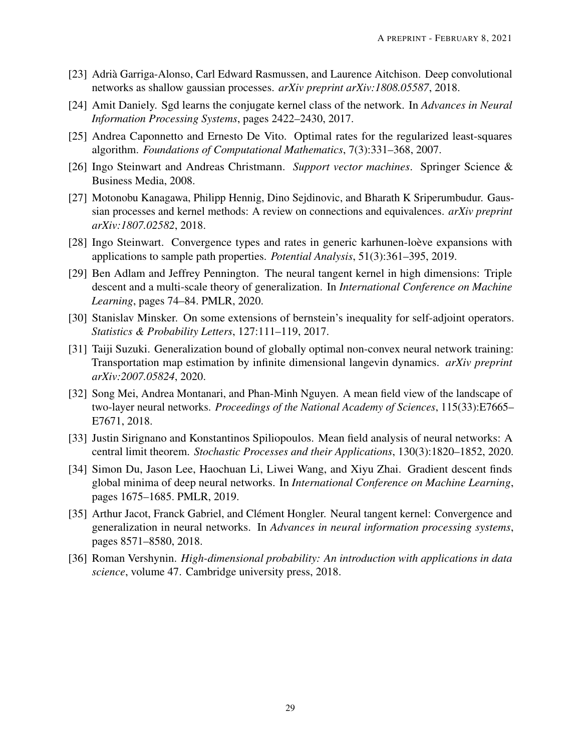- <span id="page-28-0"></span>[23] Adrià Garriga-Alonso, Carl Edward Rasmussen, and Laurence Aitchison. Deep convolutional networks as shallow gaussian processes. *arXiv preprint arXiv:1808.05587*, 2018.
- <span id="page-28-1"></span>[24] Amit Daniely. Sgd learns the conjugate kernel class of the network. In *Advances in Neural Information Processing Systems*, pages 2422–2430, 2017.
- <span id="page-28-2"></span>[25] Andrea Caponnetto and Ernesto De Vito. Optimal rates for the regularized least-squares algorithm. *Foundations of Computational Mathematics*, 7(3):331–368, 2007.
- <span id="page-28-3"></span>[26] Ingo Steinwart and Andreas Christmann. *Support vector machines*. Springer Science & Business Media, 2008.
- <span id="page-28-4"></span>[27] Motonobu Kanagawa, Philipp Hennig, Dino Sejdinovic, and Bharath K Sriperumbudur. Gaussian processes and kernel methods: A review on connections and equivalences. *arXiv preprint arXiv:1807.02582*, 2018.
- <span id="page-28-5"></span>[28] Ingo Steinwart. Convergence types and rates in generic karhunen-loève expansions with applications to sample path properties. *Potential Analysis*, 51(3):361–395, 2019.
- <span id="page-28-6"></span>[29] Ben Adlam and Jeffrey Pennington. The neural tangent kernel in high dimensions: Triple descent and a multi-scale theory of generalization. In *International Conference on Machine Learning*, pages 74–84. PMLR, 2020.
- <span id="page-28-7"></span>[30] Stanislav Minsker. On some extensions of bernstein's inequality for self-adjoint operators. *Statistics & Probability Letters*, 127:111–119, 2017.
- <span id="page-28-8"></span>[31] Taiji Suzuki. Generalization bound of globally optimal non-convex neural network training: Transportation map estimation by infinite dimensional langevin dynamics. *arXiv preprint arXiv:2007.05824*, 2020.
- <span id="page-28-9"></span>[32] Song Mei, Andrea Montanari, and Phan-Minh Nguyen. A mean field view of the landscape of two-layer neural networks. *Proceedings of the National Academy of Sciences*, 115(33):E7665– E7671, 2018.
- <span id="page-28-10"></span>[33] Justin Sirignano and Konstantinos Spiliopoulos. Mean field analysis of neural networks: A central limit theorem. *Stochastic Processes and their Applications*, 130(3):1820–1852, 2020.
- <span id="page-28-11"></span>[34] Simon Du, Jason Lee, Haochuan Li, Liwei Wang, and Xiyu Zhai. Gradient descent finds global minima of deep neural networks. In *International Conference on Machine Learning*, pages 1675–1685. PMLR, 2019.
- <span id="page-28-12"></span>[35] Arthur Jacot, Franck Gabriel, and Clément Hongler. Neural tangent kernel: Convergence and generalization in neural networks. In *Advances in neural information processing systems*, pages 8571–8580, 2018.
- <span id="page-28-13"></span>[36] Roman Vershynin. *High-dimensional probability: An introduction with applications in data science*, volume 47. Cambridge university press, 2018.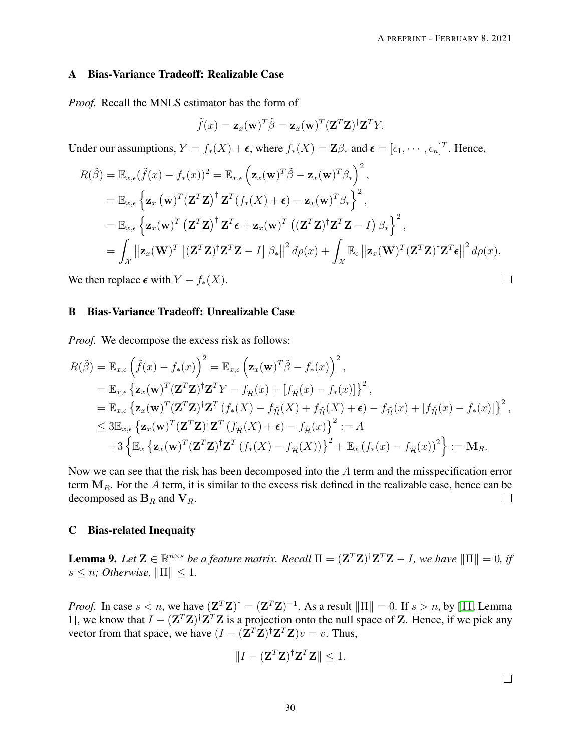# <span id="page-29-0"></span>A Bias-Variance Tradeoff: Realizable Case

*Proof.* Recall the MNLS estimator has the form of

$$
\tilde{f}(x) = \mathbf{z}_x(\mathbf{w})^T \tilde{\beta} = \mathbf{z}_x(\mathbf{w})^T (\mathbf{Z}^T \mathbf{Z})^{\dagger} \mathbf{Z}^T Y.
$$

Under our assumptions,  $Y = f_*(X) + \epsilon$ , where  $f_*(X) = \mathbb{Z}\beta_*$  and  $\epsilon = [\epsilon_1, \dots, \epsilon_n]^T$ . Hence,

$$
R(\tilde{\beta}) = \mathbb{E}_{x,\epsilon}(\tilde{f}(x) - f_*(x))^2 = \mathbb{E}_{x,\epsilon} \left( \mathbf{z}_x(\mathbf{w})^T \tilde{\beta} - \mathbf{z}_x(\mathbf{w})^T \beta_* \right)^2,
$$
  
\n
$$
= \mathbb{E}_{x,\epsilon} \left\{ \mathbf{z}_x(\mathbf{w})^T (\mathbf{Z}^T \mathbf{Z})^\dagger \mathbf{Z}^T (f_*(X) + \epsilon) - \mathbf{z}_x(\mathbf{w})^T \beta_* \right\}^2,
$$
  
\n
$$
= \mathbb{E}_{x,\epsilon} \left\{ \mathbf{z}_x(\mathbf{w})^T (\mathbf{Z}^T \mathbf{Z})^\dagger \mathbf{Z}^T \epsilon + \mathbf{z}_x(\mathbf{w})^T ((\mathbf{Z}^T \mathbf{Z})^\dagger \mathbf{Z}^T \mathbf{Z} - I) \beta_* \right\}^2,
$$
  
\n
$$
= \int_{\mathcal{X}} ||\mathbf{z}_x(\mathbf{W})^T [(\mathbf{Z}^T \mathbf{Z})^\dagger \mathbf{Z}^T \mathbf{Z} - I] \beta_* ||^2 d\rho(x) + \int_{\mathcal{X}} \mathbb{E}_{\epsilon} ||\mathbf{z}_x(\mathbf{W})^T (\mathbf{Z}^T \mathbf{Z})^\dagger \mathbf{Z}^T \epsilon ||^2 d\rho(x).
$$

We then replace  $\epsilon$  with  $Y - f_*(X)$ .

#### <span id="page-29-1"></span>B Bias-Variance Tradeoff: Unrealizable Case

*Proof.* We decompose the excess risk as follows:

$$
R(\tilde{\beta}) = \mathbb{E}_{x,\epsilon} \left( \tilde{f}(x) - f_*(x) \right)^2 = \mathbb{E}_{x,\epsilon} \left( \mathbf{z}_x(\mathbf{w})^T \tilde{\beta} - f_*(x) \right)^2,
$$
  
\n
$$
= \mathbb{E}_{x,\epsilon} \left\{ \mathbf{z}_x(\mathbf{w})^T (\mathbf{Z}^T \mathbf{Z})^\dagger \mathbf{Z}^T Y - f_{\tilde{\mathcal{H}}}(x) + [f_{\tilde{\mathcal{H}}}(x) - f_*(x)] \right\}^2,
$$
  
\n
$$
= \mathbb{E}_{x,\epsilon} \left\{ \mathbf{z}_x(\mathbf{w})^T (\mathbf{Z}^T \mathbf{Z})^\dagger \mathbf{Z}^T (f_*(X) - f_{\tilde{\mathcal{H}}}(X) + f_{\tilde{\mathcal{H}}}(X) + \epsilon) - f_{\tilde{\mathcal{H}}}(x) + [f_{\tilde{\mathcal{H}}}(x) - f_*(x)] \right\}^2,
$$
  
\n
$$
\leq 3 \mathbb{E}_{x,\epsilon} \left\{ \mathbf{z}_x(\mathbf{w})^T (\mathbf{Z}^T \mathbf{Z})^\dagger \mathbf{Z}^T (f_{\tilde{\mathcal{H}}}(X) + \epsilon) - f_{\tilde{\mathcal{H}}}(x) \right\}^2 := A
$$
  
\n
$$
+ 3 \left\{ \mathbb{E}_x \left\{ \mathbf{z}_x(\mathbf{w})^T (\mathbf{Z}^T \mathbf{Z})^\dagger \mathbf{Z}^T (f_*(X) - f_{\tilde{\mathcal{H}}}(X)) \right\}^2 + \mathbb{E}_x (f_*(x) - f_{\tilde{\mathcal{H}}}(x))^2 \right\} := \mathbf{M}_R.
$$

Now we can see that the risk has been decomposed into the A term and the misspecification error term  $M_R$ . For the A term, it is similar to the excess risk defined in the realizable case, hence can be decomposed as  $B_R$  and  $V_R$ .  $\Box$ 

# C Bias-related Inequaity

<span id="page-29-2"></span>**Lemma 9.** Let  $\mathbf{Z} \in \mathbb{R}^{n \times s}$  be a feature matrix. Recall  $\Pi = (\mathbf{Z}^T \mathbf{Z})^{\dagger} \mathbf{Z}^T \mathbf{Z} - I$ , we have  $\|\Pi\| = 0$ , if  $s \leq n$ ; Otherwise,  $\|\Pi\| \leq 1$ .

*Proof.* In case  $s < n$ , we have  $(\mathbf{Z}^T \mathbf{Z})^{\dagger} = (\mathbf{Z}^T \mathbf{Z})^{-1}$ . As a result  $\|\Pi\| = 0$ . If  $s > n$ , by [\[11,](#page-27-4) Lemma 1], we know that  $I - (Z^T Z)^{\dagger} Z^T Z$  is a projection onto the null space of Z. Hence, if we pick any vector from that space, we have  $(I - (\mathbf{Z}^T \mathbf{Z})^{\dagger} \mathbf{Z}^T \mathbf{Z})v = v$ . Thus,

$$
||I - (\mathbf{Z}^T \mathbf{Z})^\dagger \mathbf{Z}^T \mathbf{Z} || \leq 1.
$$

 $\Box$ 

 $\Box$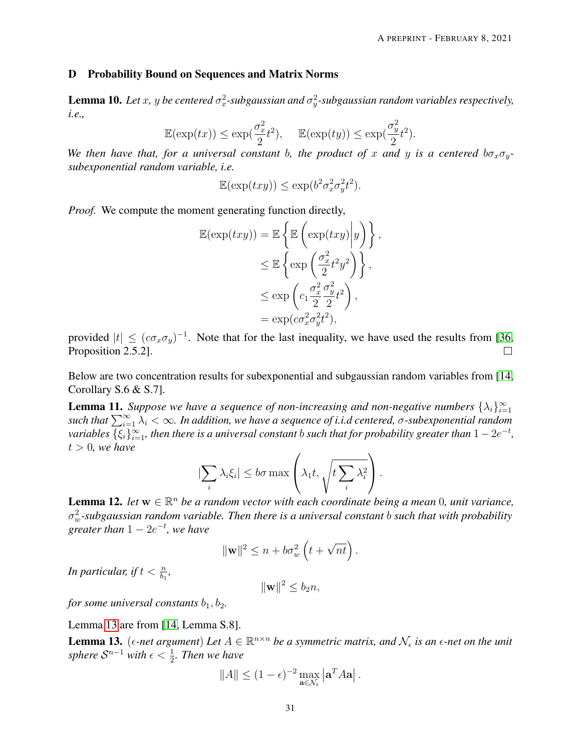#### D Probability Bound on Sequences and Matrix Norms

<span id="page-30-3"></span>**Lemma 10.** Let x, y be centered  $\sigma_x^2$ -subgaussian and  $\sigma_y^2$ -subgaussian random variables respectively, *i.e.,*

$$
\mathbb{E}(\exp(tx)) \le \exp(\frac{\sigma_x^2}{2}t^2), \quad \mathbb{E}(\exp(ty)) \le \exp(\frac{\sigma_y^2}{2}t^2).
$$

*We then have that, for a universal constant b, the product of x and y is a centered*  $b\sigma_x\sigma_y$ *subexponential random variable, i.e.*

$$
\mathbb{E}(\exp(txy)) \le \exp(b^2 \sigma_x^2 \sigma_y^2 t^2).
$$

*Proof.* We compute the moment generating function directly,

$$
\mathbb{E}(\exp(txy)) = \mathbb{E}\left\{\mathbb{E}\left(\exp(txy)\middle|y\right)\right\},\
$$

$$
\leq \mathbb{E}\left\{\exp\left(\frac{\sigma_x^2}{2}t^2y^2\right)\right\},\
$$

$$
\leq \exp\left(c_1\frac{\sigma_x^2}{2}\frac{\sigma_y^2}{2}t^2\right),\
$$

$$
= \exp(c\sigma_x^2\sigma_y^2t^2),
$$

provided  $|t| \leq (c\sigma_x\sigma_y)^{-1}$ . Note that for the last inequality, we have used the results from [\[36,](#page-28-13) Proposition 2.5.2].  $\Box$ 

Below are two concentration results for subexponential and subgaussian random variables from [\[14,](#page-27-7) Corollary S.6 & S.7].

<span id="page-30-0"></span>**Lemma 11.** Suppose we have a sequence of non-increasing and non-negative numbers  $\{\lambda_i\}_{i=1}^{\infty}$  $such that \sum_{i=1}^{\infty} \lambda_i < \infty$ . In addition, we have a sequence of *i.i.d centered*,  $\sigma$ -subexponential random  $variable$ s  $\{\xi_i\}_{i=1}^\infty$ , then there is a universal constant  $b$  such that for probability greater than  $1-2e^{-t}$ ,  $t > 0$ , we have

$$
|\sum_{i} \lambda_i \xi_i| \leq b\sigma \max\left(\lambda_1 t, \sqrt{t \sum_{i} \lambda_i^2}\right).
$$

<span id="page-30-2"></span>**Lemma 12.** *let*  $w \in \mathbb{R}^n$  *be a random vector with each coordinate being a mean* 0*, unit variance,* σ 2 <sup>w</sup>*-subgaussian random variable. Then there is a universal constant* b *such that with probability*  $g$ *reater than*  $1 - 2e^{-t}$ *, we have* 

$$
\|\mathbf{w}\|^2 \le n + b\sigma_w^2\left(t + \sqrt{nt}\right).
$$

In particular, if  $t < \frac{n}{b_1}$ ,

$$
\|\mathbf{w}\|^2 \le b_2 n,
$$

*for some universal constants*  $b_1$ ,  $b_2$ .

# Lemma [13](#page-30-1) are from [\[14,](#page-27-7) Lemma S.8].

<span id="page-30-1"></span>**Lemma 13.** ( $\epsilon$ -net argument) Let  $A \in \mathbb{R}^{n \times n}$  be a symmetric matrix, and  $\mathcal{N}_{\epsilon}$  is an  $\epsilon$ -net on the unit sphere  $\mathcal{S}^{n-1}$  with  $\epsilon < \frac{1}{2}$ *. Then we have* 

$$
||A|| \le (1 - \epsilon)^{-2} \max_{\mathbf{a} \in \mathcal{N}_{\epsilon}} |\mathbf{a}^T A \mathbf{a}|.
$$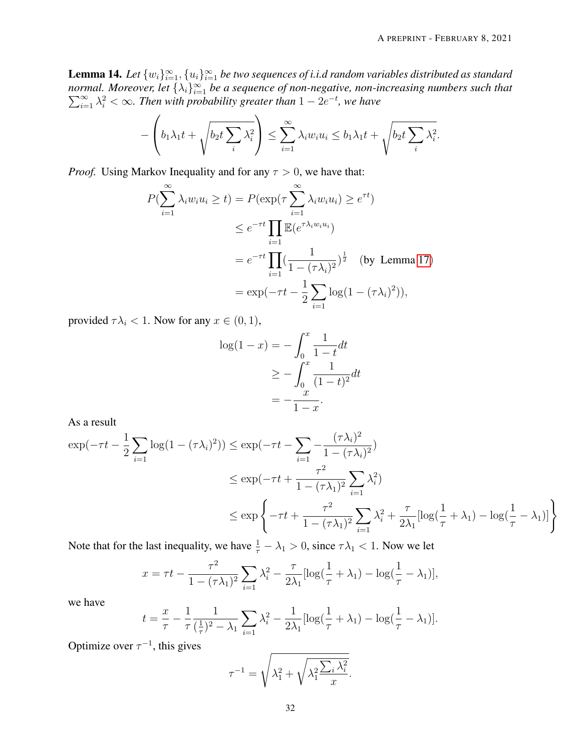<span id="page-31-0"></span>**Lemma 14.** Let  $\{w_i\}_{i=1}^{\infty}$ ,  $\{u_i\}_{i=1}^{\infty}$  be two sequences of i.i.d random variables distributed as standard *normal. Moreover, let*  $\{\lambda_i\}_{i=1}^{\infty}$  $\sum$ rmal. Moreover, let  $\{\lambda_i\}_{i=1}^{\infty}$  be a sequence of non-negative, non-increasing numbers such that  $\sum_{i=1}^{\infty}\lambda_i^2 < \infty$ . Then with probability greater than  $1 - 2e^{-t}$ , we have

$$
-\left(b_1\lambda_1t+\sqrt{b_2t\sum_i\lambda_i^2}\right)\leq \sum_{i=1}^\infty\lambda_iw_iu_i\leq b_1\lambda_1t+\sqrt{b_2t\sum_i\lambda_i^2}.
$$

*Proof.* Using Markov Inequality and for any  $\tau > 0$ , we have that:

$$
P(\sum_{i=1}^{\infty} \lambda_i w_i u_i \ge t) = P(\exp(\tau \sum_{i=1}^{\infty} \lambda_i w_i u_i) \ge e^{\tau t})
$$
  
\n
$$
\le e^{-\tau t} \prod_{i=1}^{\infty} \mathbb{E}(e^{\tau \lambda_i w_i u_i})
$$
  
\n
$$
= e^{-\tau t} \prod_{i=1}^{\infty} (\frac{1}{1 - (\tau \lambda_i)^2})^{\frac{1}{2}} \text{ (by Lemma 17)}
$$
  
\n
$$
= \exp(-\tau t - \frac{1}{2} \sum_{i=1}^{\infty} \log(1 - (\tau \lambda_i)^2)),
$$

provided  $\tau \lambda_i < 1$ . Now for any  $x \in (0, 1)$ ,

$$
\log(1 - x) = -\int_0^x \frac{1}{1 - t} dt
$$
  
\n
$$
\ge -\int_0^x \frac{1}{(1 - t)^2} dt
$$
  
\n
$$
= -\frac{x}{1 - x}.
$$

As a result

$$
\exp(-\tau t - \frac{1}{2} \sum_{i=1}^{\infty} \log(1 - (\tau \lambda_i)^2)) \le \exp(-\tau t - \sum_{i=1}^{\infty} -\frac{(\tau \lambda_i)^2}{1 - (\tau \lambda_i)^2})
$$
  

$$
\le \exp(-\tau t + \frac{\tau^2}{1 - (\tau \lambda_1)^2} \sum_{i=1}^{\infty} \lambda_i^2)
$$
  

$$
\le \exp\left\{-\tau t + \frac{\tau^2}{1 - (\tau \lambda_1)^2} \sum_{i=1}^{\infty} \lambda_i^2 + \frac{\tau}{2\lambda_1} [\log(\frac{1}{\tau} + \lambda_1) - \log(\frac{1}{\tau} - \lambda_1)]\right\}
$$

Note that for the last inequality, we have  $\frac{1}{\tau} - \lambda_1 > 0$ , since  $\tau \lambda_1 < 1$ . Now we let

$$
x = \tau t - \frac{\tau^2}{1 - (\tau \lambda_1)^2} \sum_{i=1}^{\infty} \lambda_i^2 - \frac{\tau}{2\lambda_1} [\log(\frac{1}{\tau} + \lambda_1) - \log(\frac{1}{\tau} - \lambda_1)],
$$

we have

$$
t = \frac{x}{\tau} - \frac{1}{\tau} \frac{1}{(\frac{1}{\tau})^2 - \lambda_1} \sum_{i=1}^{\infty} \lambda_i^2 - \frac{1}{2\lambda_1} [\log(\frac{1}{\tau} + \lambda_1) - \log(\frac{1}{\tau} - \lambda_1)].
$$

Optimize over  $\tau^{-1}$ , this gives

$$
\tau^{-1} = \sqrt{\lambda_1^2 + \sqrt{\lambda_1^2 \frac{\sum_i \lambda_i^2}{x}}}
$$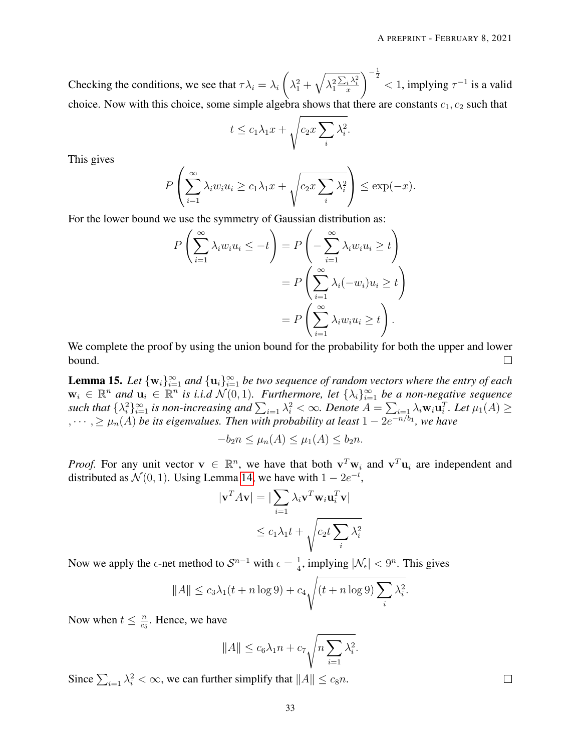Checking the conditions, we see that  $\tau \lambda_i = \lambda_i$  $\sqrt{ }$  $\lambda_1^2+\sqrt{\lambda_1^2}$  $\frac{\sum_i \lambda_i^2}{x}$  $\int_{0}^{-\frac{1}{2}}$  < 1, implying  $\tau^{-1}$  is a valid choice. Now with this choice, some simple algebra shows that there are constants  $c_1, c_2$  such that

$$
t \le c_1 \lambda_1 x + \sqrt{c_2 x \sum_i \lambda_i^2}
$$

.

This gives

$$
P\left(\sum_{i=1}^{\infty}\lambda_iw_iu_i \geq c_1\lambda_1x + \sqrt{c_2x\sum_i\lambda_i^2}\right) \leq \exp(-x).
$$

For the lower bound we use the symmetry of Gaussian distribution as:

$$
P\left(\sum_{i=1}^{\infty} \lambda_i w_i u_i \le -t\right) = P\left(-\sum_{i=1}^{\infty} \lambda_i w_i u_i \ge t\right)
$$
  
= 
$$
P\left(\sum_{i=1}^{\infty} \lambda_i (-w_i) u_i \ge t\right)
$$
  
= 
$$
P\left(\sum_{i=1}^{\infty} \lambda_i w_i u_i \ge t\right).
$$

We complete the proof by using the union bound for the probability for both the upper and lower bound.  $\Box$ 

<span id="page-32-0"></span>**Lemma 15.** Let  $\{w_i\}_{i=1}^{\infty}$  and  $\{u_i\}_{i=1}^{\infty}$  be two sequence of random vectors where the entry of each  $w_i \in \mathbb{R}^n$  and  $u_i \in \mathbb{R}^n$  is i.i.d  $\mathcal{N}(0, 1)$ . Furthermore, let  $\{\lambda_i\}_{i=1}^{\infty}$  be a non-negative sequence such that  $\{\lambda_i^2\}_{i=1}^\infty$  is non-increasing and  $\sum_{i=1}\lambda_i^2<\infty$ . Denote  $A=\sum_{i=1}\lambda_i\mathbf{w}_i\mathbf{u}_i^T$ . Let  $\mu_1(A)\geq$  $\lambda_1, \dots, \lambda_n \geq \mu_n(A)$  *be its eigenvalues. Then with probability at least*  $1 - 2e^{-n/b_1}$ , we have

$$
-b_2n \le \mu_n(A) \le \mu_1(A) \le b_2n.
$$

*Proof.* For any unit vector  $v \in \mathbb{R}^n$ , we have that both  $v^T w_i$  and  $v^T u_i$  are independent and distributed as  $\mathcal{N}(0, 1)$ . Using Lemma [14,](#page-31-0) we have with  $1 - 2e^{-t}$ ,

$$
|\mathbf{v}^T A \mathbf{v}| = |\sum_{i=1} \lambda_i \mathbf{v}^T \mathbf{w}_i \mathbf{u}_i^T \mathbf{v}|
$$
  

$$
\le c_1 \lambda_1 t + \sqrt{c_2 t \sum_i \lambda_i^2}
$$

Now we apply the  $\epsilon$ -net method to  $S^{n-1}$  with  $\epsilon = \frac{1}{4}$  $\frac{1}{4}$ , implying  $|\mathcal{N}_{\epsilon}| < 9^n$ . This gives

$$
||A|| \le c_3 \lambda_1 (t + n \log 9) + c_4 \sqrt{(t + n \log 9) \sum_i \lambda_i^2}.
$$

Now when  $t \leq \frac{n}{c}$  $\frac{n}{c_5}$ . Hence, we have

$$
||A|| \leq c_6 \lambda_1 n + c_7 \sqrt{n \sum_{i=1}^n \lambda_i^2}.
$$

Since  $\sum_{i=1} \lambda_i^2 < \infty$ , we can further simplify that  $||A|| \le c_8 n$ .

 $\Box$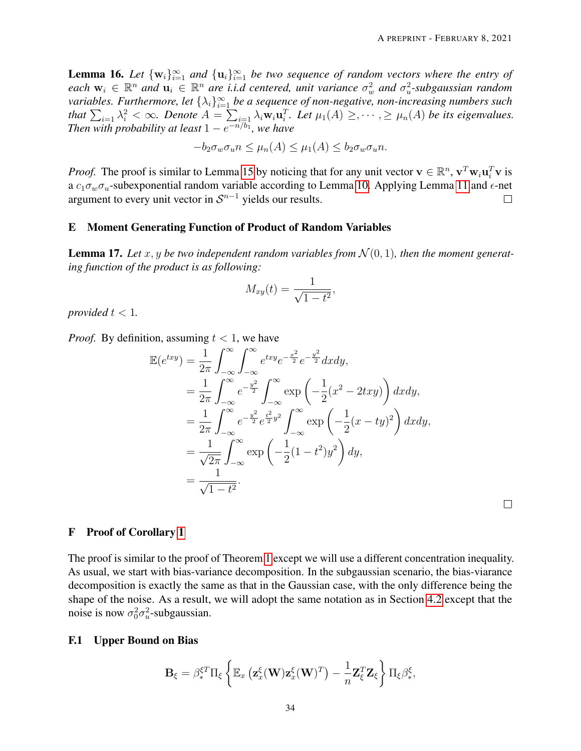<span id="page-33-1"></span>**Lemma 16.** Let  $\{w_i\}_{i=1}^{\infty}$  and  $\{u_i\}_{i=1}^{\infty}$  be two sequence of random vectors where the entry of each  $w_i \in \mathbb{R}^n$  and  $u_i \in \mathbb{R}^n$  are *i.i.d centered, unit variance*  $\sigma_w^2$  and  $\sigma_u^2$ -subgaussian random variables. Furthermore, let  $\{\lambda_i\}_{i=1}^\infty$  be a sequence of non-negative, non-increasing numbers such that  $\sum_{i=1} \lambda_i^2 < \infty$ . Denote  $A = \sum_{i=1} \lambda_i w_i \mathbf{u}_i^T$ . Let  $\mu_1(A) \geq, \cdots, \geq \mu_n(A)$  be its eigenvalues. *Then with probability at least*  $1 - e^{-n/b_1}$ *, we have* 

$$
-b_2 \sigma_w \sigma_u n \le \mu_n(A) \le \mu_1(A) \le b_2 \sigma_w \sigma_u n.
$$

*Proof.* The proof is similar to Lemma [15](#page-32-0) by noticing that for any unit vector  $v \in \mathbb{R}^n$ ,  $v^T w_i u_i^T v$  is a  $c_1 \sigma_w \sigma_u$ -subexponential random variable according to Lemma [10.](#page-30-3) Applying Lemma [11](#page-30-0) and  $\epsilon$ -net argument to every unit vector in  $S^{n-1}$  yields our results.  $\Box$ 

# E Moment Generating Function of Product of Random Variables

<span id="page-33-0"></span>**Lemma 17.** Let x, y be two independent random variables from  $\mathcal{N}(0, 1)$ , then the moment generat*ing function of the product is as following:*

$$
M_{xy}(t) = \frac{1}{\sqrt{1-t^2}},
$$

*provided*  $t < 1$ *.* 

*Proof.* By definition, assuming  $t < 1$ , we have

$$
\mathbb{E}(e^{txy}) = \frac{1}{2\pi} \int_{-\infty}^{\infty} \int_{-\infty}^{\infty} e^{txy} e^{-\frac{x^2}{2}} e^{-\frac{y^2}{2}} dx dy, \n= \frac{1}{2\pi} \int_{-\infty}^{\infty} e^{-\frac{y^2}{2}} \int_{-\infty}^{\infty} \exp\left(-\frac{1}{2}(x^2 - 2txy)\right) dx dy, \n= \frac{1}{2\pi} \int_{-\infty}^{\infty} e^{-\frac{y^2}{2}} e^{\frac{t^2}{2}y^2} \int_{-\infty}^{\infty} \exp\left(-\frac{1}{2}(x - ty)^2\right) dx dy, \n= \frac{1}{\sqrt{2\pi}} \int_{-\infty}^{\infty} \exp\left(-\frac{1}{2}(1 - t^2)y^2\right) dy, \n= \frac{1}{\sqrt{1 - t^2}}.
$$

 $\Box$ 

### F Proof of Corollary [1](#page-11-0)

The proof is similar to the proof of Theorem [1](#page-8-0) except we will use a different concentration inequality. As usual, we start with bias-variance decomposition. In the subgaussian scenario, the bias-viarance decomposition is exactly the same as that in the Gaussian case, with the only difference being the shape of the noise. As a result, we will adopt the same notation as in Section [4.2](#page-19-0) except that the noise is now  $\sigma_0^2 \sigma_u^2$ -subgaussian.

### F.1 Upper Bound on Bias

$$
\mathbf{B}_{\xi} = \beta_{*}^{\xi T} \Pi_{\xi} \left\{ \mathbb{E}_{x} \left( \mathbf{z}_{x}^{\xi}(\mathbf{W}) \mathbf{z}_{x}^{\xi}(\mathbf{W})^{T} \right) - \frac{1}{n} \mathbf{Z}_{\xi}^{T} \mathbf{Z}_{\xi} \right\} \Pi_{\xi} \beta_{*}^{\xi},
$$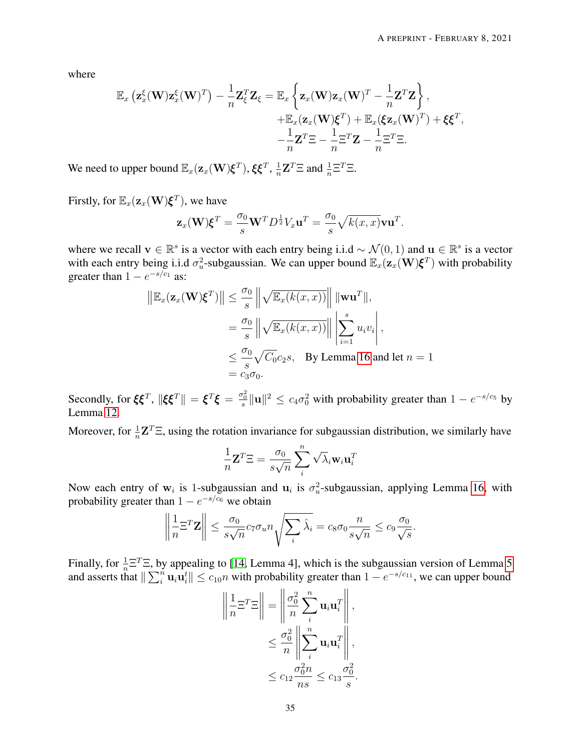where

$$
\mathbb{E}_{x}\left(\mathbf{z}_{x}^{\xi}(\mathbf{W})\mathbf{z}_{x}^{\xi}(\mathbf{W})^{T}\right)-\frac{1}{n}\mathbf{Z}_{\xi}^{T}\mathbf{Z}_{\xi}=\mathbb{E}_{x}\left\{\mathbf{z}_{x}(\mathbf{W})\mathbf{z}_{x}(\mathbf{W})^{T}-\frac{1}{n}\mathbf{Z}^{T}\mathbf{Z}\right\},\n+\mathbb{E}_{x}(\mathbf{z}_{x}(\mathbf{W})\boldsymbol{\xi}^{T})+\mathbb{E}_{x}(\xi\mathbf{z}_{x}(\mathbf{W})^{T})+\xi\boldsymbol{\xi}^{T},\n-\frac{1}{n}\mathbf{Z}^{T}\Xi-\frac{1}{n}\Xi^{T}\mathbf{Z}-\frac{1}{n}\Xi^{T}\Xi.
$$

We need to upper bound  $\mathbb{E}_x(\mathbf{z}_x(\mathbf{W})\boldsymbol{\xi}^T), \boldsymbol{\xi}\boldsymbol{\xi}^T, \frac{1}{n}$  $\frac{1}{n} \mathbf{Z}^T \Xi$  and  $\frac{1}{n} \Xi^T \Xi$ .

Firstly, for  $\mathbb{E}_x(\mathbf{z}_x(\mathbf{W})\boldsymbol{\xi}^T)$ , we have

$$
\mathbf{z}_x(\mathbf{W})\boldsymbol{\xi}^T = \frac{\sigma_0}{s}\mathbf{W}^T D^{\frac{1}{2}}V_x \mathbf{u}^T = \frac{\sigma_0}{s} \sqrt{k(x,x)}\mathbf{v}\mathbf{u}^T.
$$

where we recall  $\mathbf{v} \in \mathbb{R}^s$  is a vector with each entry being i.i.d ~  $\mathcal{N}(0, 1)$  and  $\mathbf{u} \in \mathbb{R}^s$  is a vector with each entry being i.i.d  $\sigma_u^2$ -subgaussian. We can upper bound  $\mathbb{E}_x(\mathbf{z}_x(\mathbf{W})\boldsymbol{\xi}^T)$  with probability greater than  $1 - e^{-s/c_1}$  as:

$$
\|\mathbb{E}_x(\mathbf{z}_x(\mathbf{W})\boldsymbol{\xi}^T)\| \leq \frac{\sigma_0}{s} \left\| \sqrt{\mathbb{E}_x(k(x,x))} \right\| \|\mathbf{w}\mathbf{u}^T\|,
$$
  
\n
$$
= \frac{\sigma_0}{s} \left\| \sqrt{\mathbb{E}_x(k(x,x))} \right\| \left| \sum_{i=1}^s u_i v_i \right|,
$$
  
\n
$$
\leq \frac{\sigma_0}{s} \sqrt{C_0} c_2 s, \quad \text{By Lemma 16 and let } n = 1
$$
  
\n
$$
= c_3 \sigma_0.
$$

Secondly, for  $\xi \xi^T$ ,  $\|\xi \xi^T\| = \xi^T \xi = \frac{\sigma_0^2}{s} \| \mathbf{u} \|^2 \le c_4 \sigma_0^2$  with probability greater than  $1 - e^{-s/c_5}$  by Lemma [12.](#page-30-2)

Moreover, for  $\frac{1}{n} \mathbf{Z}^T \Xi$ , using the rotation invariance for subgaussian distribution, we similarly have

$$
\frac{1}{n}\mathbf{Z}^T \Xi = \frac{\sigma_0}{s\sqrt{n}} \sum_{i}^{n} \sqrt{\lambda_i} \mathbf{w}_i \mathbf{u}_i^T
$$

Now each entry of  $w_i$  is 1-subgaussian and  $u_i$  is  $\sigma_u^2$ -subgaussian, applying Lemma [16,](#page-33-1) with probability greater than  $1 - e^{-s/c_6}$  we obtain

$$
\left\|\frac{1}{n}\Xi^T \mathbf{Z}\right\| \leq \frac{\sigma_0}{s\sqrt{n}} c_7 \sigma_u n \sqrt{\sum_i \hat{\lambda}_i} = c_8 \sigma_0 \frac{n}{s\sqrt{n}} \leq c_9 \frac{\sigma_0}{\sqrt{s}}.
$$

Finally, for  $\frac{1}{n} \Xi^T \Xi$ , by appealing to [\[14,](#page-27-7) Lemma 4], which is the subgaussian version of Lemma [5](#page-17-3) and asserts that  $\|\sum_{i=1}^n u_i u_i^t\| \le c_{10}n$  with probability greater than  $1 - e^{-s/c_{11}}$ , we can upper bound

$$
\left\| \frac{1}{n} \Xi^T \Xi \right\| = \left\| \frac{\sigma_0^2}{n} \sum_i^n \mathbf{u}_i \mathbf{u}_i^T \right\|,
$$
  

$$
\leq \frac{\sigma_0^2}{n} \left\| \sum_i^n \mathbf{u}_i \mathbf{u}_i^T \right\|,
$$
  

$$
\leq c_{12} \frac{\sigma_0^2 n}{ns} \leq c_{13} \frac{\sigma_0^2}{s}.
$$